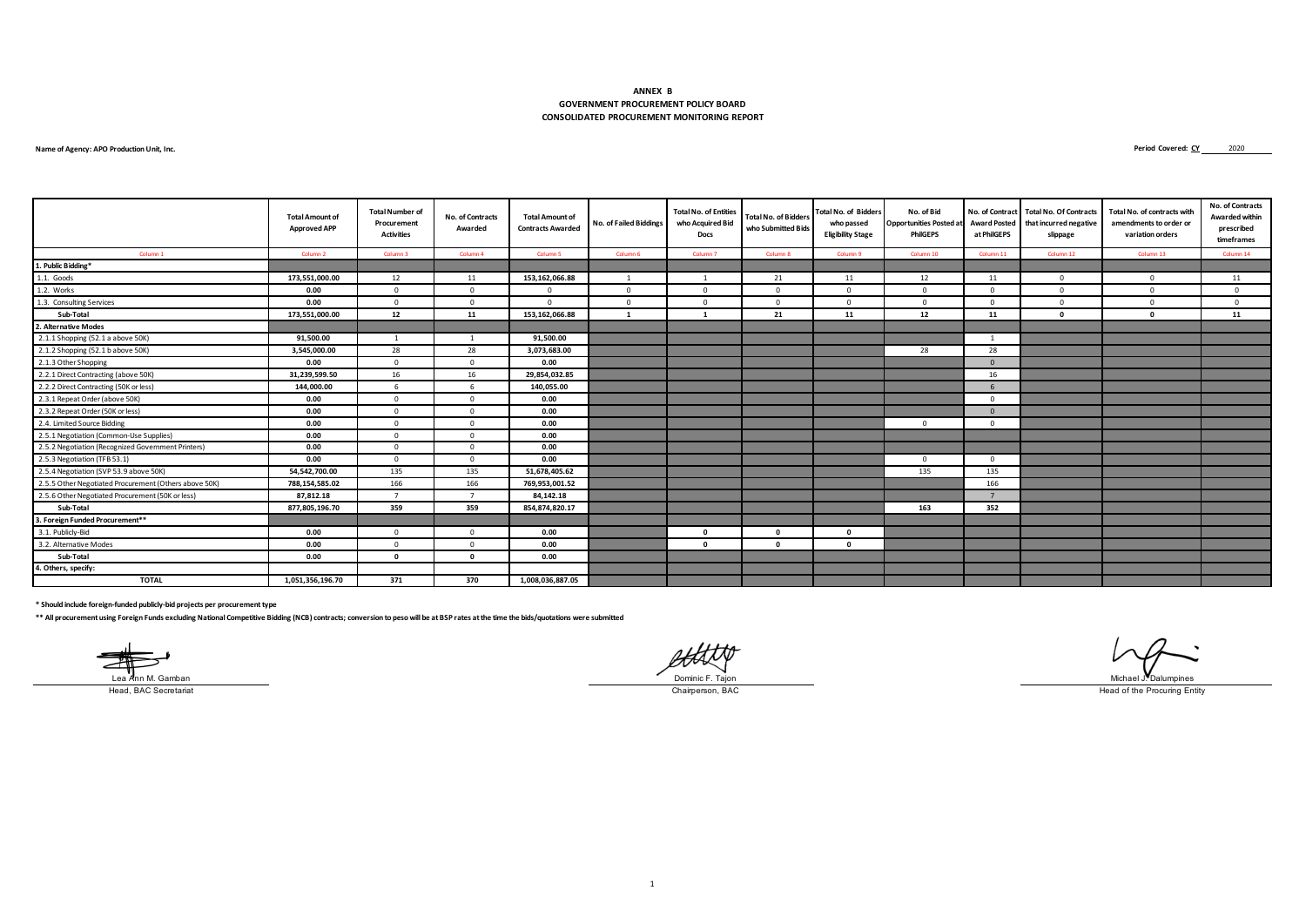#### **CONSOLIDATED PROCUREMENT MONITORING REPORT ANNEX B GOVERNMENT PROCUREMENT POLICY BOARD**

#### **Name of Agency: APO Production Unit, Inc.**

Period Covered: CY 2020

|                                                       | <b>Total Amount of</b><br><b>Approved APP</b> | <b>Total Number of</b><br>Procurement<br><b>Activities</b> | No. of Contracts<br>Awarded | <b>Total Amount of</b><br><b>Contracts Awarded</b> | <b>No. of Failed Biddings</b> | <b>Total No. of Entities</b><br>who Acquired Bid<br><b>Docs</b> | <b>Total No. of Bidders</b><br>who Submitted Bids | <b>Total No. of Bidders</b><br>who passed<br><b>Eligibility Stage</b> | No. of Bid<br><b>Opportunities Posted a</b><br><b>PhilGEPS</b> | <b>Award Posted</b><br>at PhilGEPS | No. of Contract Total No. Of Contracts<br>that incurred negative<br>slippage | Total No. of contracts with<br>amendments to order or<br>variation orders | No. of Contracts<br><b>Awarded within</b><br>prescribed<br>timeframes |
|-------------------------------------------------------|-----------------------------------------------|------------------------------------------------------------|-----------------------------|----------------------------------------------------|-------------------------------|-----------------------------------------------------------------|---------------------------------------------------|-----------------------------------------------------------------------|----------------------------------------------------------------|------------------------------------|------------------------------------------------------------------------------|---------------------------------------------------------------------------|-----------------------------------------------------------------------|
| Column <sub>1</sub>                                   | Column <sub>2</sub>                           | Column <sub>3</sub>                                        | Column <sub>4</sub>         | Column <sub>5</sub>                                | Column 6                      | Column <sub>7</sub>                                             | Column 8                                          | Column 9                                                              | Column 10                                                      | Column 11                          | Column 12                                                                    | Column 13                                                                 | Column 14                                                             |
| 1. Public Bidding*                                    |                                               |                                                            |                             |                                                    |                               |                                                                 |                                                   |                                                                       |                                                                |                                    |                                                                              |                                                                           |                                                                       |
| 1.1. Goods                                            | 173,551,000.00                                | 12                                                         | 11                          | 153,162,066.88                                     |                               |                                                                 | 21                                                | 11                                                                    | 12                                                             | 11                                 | $\mathbf{0}$                                                                 | $\overline{0}$                                                            | 11                                                                    |
| 1.2. Works                                            | 0.00                                          | $\Omega$                                                   | $\mathbf{0}$                | $\Omega$                                           | $\Omega$                      | $\Omega$                                                        | $\Omega$                                          | $\Omega$                                                              | $\Omega$                                                       | $\Omega$                           | $\mathbf 0$                                                                  | $\Omega$                                                                  | $\Omega$                                                              |
| 1.3. Consulting Services                              | 0.00                                          | $\Omega$                                                   | $\mathbf{0}$                | $\Omega$                                           | $^{\circ}$                    | $\Omega$                                                        | $\Omega$                                          | $\Omega$                                                              | $\Omega$                                                       | $\Omega$                           | $\overline{0}$                                                               | $\Omega$                                                                  | $\Omega$                                                              |
| Sub-Total                                             | 173,551,000.00                                | 12                                                         | 11                          | 153,162,066.88                                     | $\mathbf{1}$                  | $\mathbf{1}$                                                    | 21                                                | 11                                                                    | 12                                                             | 11                                 | $\mathbf{o}$                                                                 | $\Omega$                                                                  | 11                                                                    |
| 2. Alternative Modes                                  |                                               |                                                            |                             |                                                    |                               |                                                                 |                                                   |                                                                       |                                                                |                                    |                                                                              |                                                                           |                                                                       |
| 2.1.1 Shopping (52.1 a above 50K)                     | 91,500.00                                     | $\overline{1}$                                             |                             | 91,500.00                                          |                               |                                                                 |                                                   |                                                                       |                                                                |                                    |                                                                              |                                                                           |                                                                       |
| 2.1.2 Shopping (52.1 b above 50K)                     | 3,545,000.00                                  | 28                                                         | 28                          | 3,073,683.00                                       |                               |                                                                 |                                                   |                                                                       | 28                                                             | 28                                 |                                                                              |                                                                           |                                                                       |
| 2.1.3 Other Shopping                                  | 0.00                                          | $\Omega$                                                   | $\mathbf{0}$                | 0.00                                               |                               |                                                                 |                                                   |                                                                       |                                                                | $\Omega$                           |                                                                              |                                                                           |                                                                       |
| 2.2.1 Direct Contracting (above 50K)                  | 31,239,599.50                                 | 16                                                         | 16                          | 29,854,032.85                                      |                               |                                                                 |                                                   |                                                                       |                                                                | 16                                 |                                                                              |                                                                           |                                                                       |
| 2.2.2 Direct Contracting (50K or less)                | 144,000.00                                    | 6                                                          | 6                           | 140.055.00                                         |                               |                                                                 |                                                   |                                                                       |                                                                |                                    |                                                                              |                                                                           |                                                                       |
| 2.3.1 Repeat Order (above 50K)                        | 0.00                                          | $\Omega$                                                   | $\mathbf{0}$                | 0.00                                               |                               |                                                                 |                                                   |                                                                       |                                                                | $\mathbf{0}$                       |                                                                              |                                                                           |                                                                       |
| 2.3.2 Repeat Order (50K or less)                      | 0.00                                          | $\Omega$                                                   | $\mathbf{0}$                | 0.00                                               |                               |                                                                 |                                                   |                                                                       |                                                                | $\Omega$                           |                                                                              |                                                                           |                                                                       |
| 2.4. Limited Source Bidding                           | 0.00                                          | $\Omega$                                                   | $\mathbf{0}$                | 0.00                                               |                               |                                                                 |                                                   |                                                                       | $\overline{0}$                                                 | $\mathbf{0}$                       |                                                                              |                                                                           |                                                                       |
| 2.5.1 Negotiation (Common-Use Supplies)               | 0.00                                          | $\Omega$                                                   | $\mathbf{0}$                | 0.00                                               |                               |                                                                 |                                                   |                                                                       |                                                                |                                    |                                                                              |                                                                           |                                                                       |
| 2.5.2 Negotiation (Recognized Government Printers)    | 0.00                                          | $\Omega$                                                   | $\mathbf{0}$                | 0.00                                               |                               |                                                                 |                                                   |                                                                       |                                                                |                                    |                                                                              |                                                                           |                                                                       |
| 2.5.3 Negotiation (TFB 53.1)                          | 0.00                                          | $\Omega$                                                   | $\mathbf{0}$                | 0.00                                               |                               |                                                                 |                                                   |                                                                       | $\Omega$                                                       | $\mathbf{0}$                       |                                                                              |                                                                           |                                                                       |
| 2.5.4 Negotiation (SVP 53.9 above 50K)                | 54,542,700.00                                 | 135                                                        | 135                         | 51,678,405.62                                      |                               |                                                                 |                                                   |                                                                       | 135                                                            | 135                                |                                                                              |                                                                           |                                                                       |
| 2.5.5 Other Negotiated Procurement (Others above 50K) | 788,154,585.02                                | 166                                                        | 166                         | 769,953,001.52                                     |                               |                                                                 |                                                   |                                                                       |                                                                | 166                                |                                                                              |                                                                           |                                                                       |
| 2.5.6 Other Negotiated Procurement (50K or less)      | 87,812.18                                     | $\overline{ }$                                             | $\overline{ }$              | 84, 142. 18                                        |                               |                                                                 |                                                   |                                                                       |                                                                | $\overline{7}$                     |                                                                              |                                                                           |                                                                       |
| Sub-Total                                             | 877,805,196.70                                | 359                                                        | 359                         | 854,874,820.17                                     |                               |                                                                 |                                                   |                                                                       | 163                                                            | 352                                |                                                                              |                                                                           |                                                                       |
| 3. Foreign Funded Procurement**                       |                                               |                                                            |                             |                                                    |                               |                                                                 |                                                   |                                                                       |                                                                |                                    |                                                                              |                                                                           |                                                                       |
| 3.1. Publicly-Bid                                     | 0.00                                          | $\Omega$                                                   | $\Omega$                    | 0.00                                               |                               | $\mathbf{a}$                                                    | $^{\circ}$                                        | $\Omega$                                                              |                                                                |                                    |                                                                              |                                                                           |                                                                       |
| 3.2. Alternative Modes                                | 0.00                                          | $\Omega$                                                   | $\mathbf 0$                 | 0.00                                               |                               | $\Omega$                                                        | $\mathbf{0}$                                      | $\Omega$                                                              |                                                                |                                    |                                                                              |                                                                           |                                                                       |
| Sub-Total                                             | 0.00                                          | $\mathbf 0$                                                | $\mathbf{0}$                | 0.00                                               |                               |                                                                 |                                                   |                                                                       |                                                                |                                    |                                                                              |                                                                           |                                                                       |
| 4. Others, specify:                                   |                                               |                                                            |                             |                                                    |                               |                                                                 |                                                   |                                                                       |                                                                |                                    |                                                                              |                                                                           |                                                                       |
| <b>TOTAL</b>                                          | 1,051,356,196.70                              | 371                                                        | 370                         | 1,008,036,887.05                                   |                               |                                                                 |                                                   |                                                                       |                                                                |                                    |                                                                              |                                                                           |                                                                       |

**\* Should include foreign-funded publicly-bid projects per procurement type** 

**\*\* All procurement using Foreign Funds excluding National Competitive Bidding (NCB) contracts; conversion to peso will be at BSP rates at the time the bids/quotations were submitted**

Lea Ann M. Gamban Dominic F. Tajon Michael J. Dalumpines Head, BAC Secretariat Chairperson, BAC Head of the Procuring Entity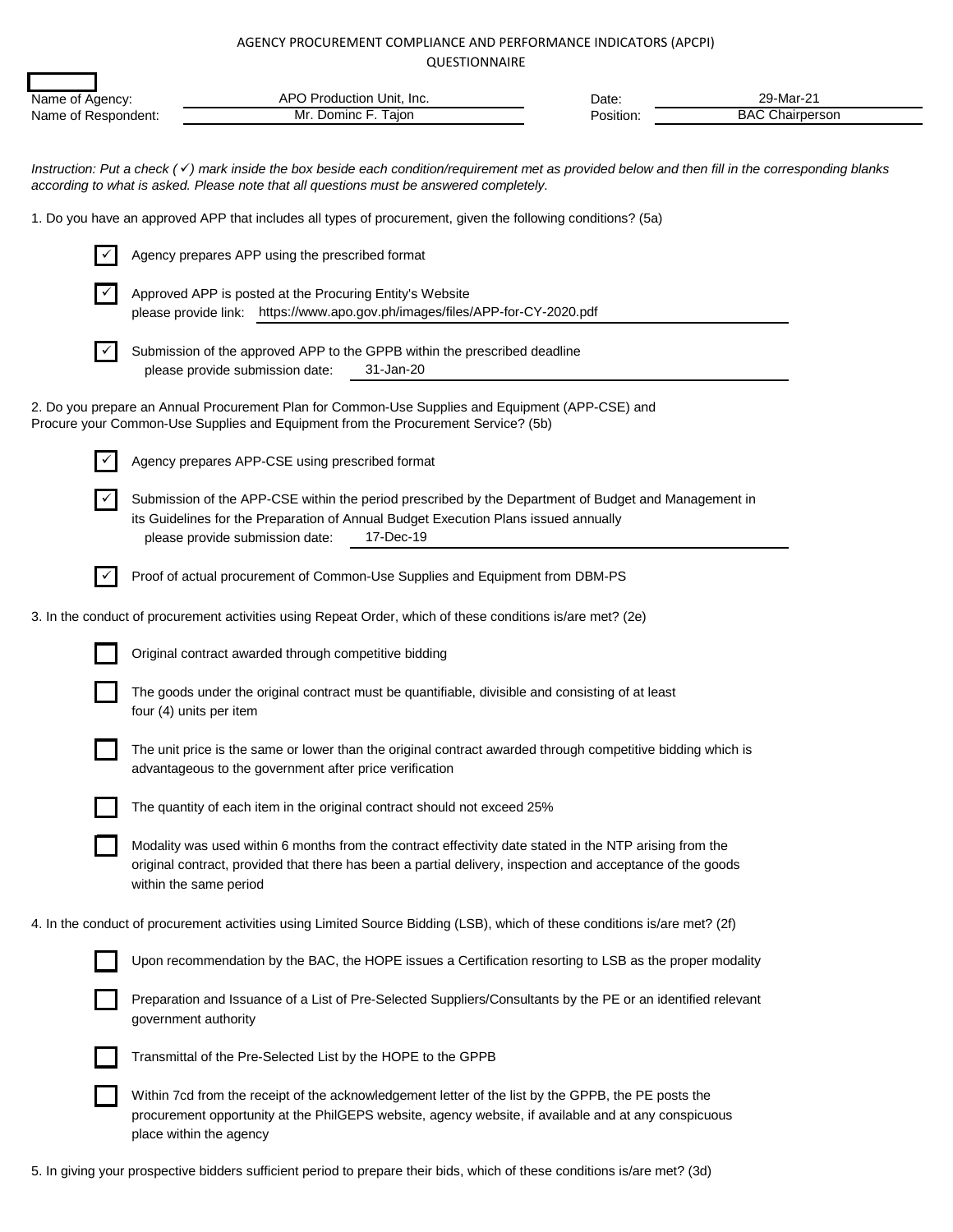| Name of Agency:                                                                                            |                                                                                                                                          | APO Production Unit, Inc.                               |                                                                                                                                                                                       | Date:                                                                                                                                                                                                                 | 29-Mar-21                                                                                                                                          |  |  |
|------------------------------------------------------------------------------------------------------------|------------------------------------------------------------------------------------------------------------------------------------------|---------------------------------------------------------|---------------------------------------------------------------------------------------------------------------------------------------------------------------------------------------|-----------------------------------------------------------------------------------------------------------------------------------------------------------------------------------------------------------------------|----------------------------------------------------------------------------------------------------------------------------------------------------|--|--|
| Name of Respondent:                                                                                        |                                                                                                                                          | Mr. Dominc F. Tajon                                     |                                                                                                                                                                                       | Position:                                                                                                                                                                                                             | <b>BAC Chairperson</b>                                                                                                                             |  |  |
|                                                                                                            |                                                                                                                                          |                                                         | according to what is asked. Please note that all questions must be answered completely.                                                                                               |                                                                                                                                                                                                                       | Instruction: Put a check (v) mark inside the box beside each condition/requirement met as provided below and then fill in the corresponding blanks |  |  |
|                                                                                                            |                                                                                                                                          |                                                         | 1. Do you have an approved APP that includes all types of procurement, given the following conditions? (5a)                                                                           |                                                                                                                                                                                                                       |                                                                                                                                                    |  |  |
|                                                                                                            |                                                                                                                                          | Agency prepares APP using the prescribed format         |                                                                                                                                                                                       |                                                                                                                                                                                                                       |                                                                                                                                                    |  |  |
|                                                                                                            | Approved APP is posted at the Procuring Entity's Website<br>please provide link: https://www.apo.gov.ph/images/files/APP-for-CY-2020.pdf |                                                         |                                                                                                                                                                                       |                                                                                                                                                                                                                       |                                                                                                                                                    |  |  |
|                                                                                                            | please provide submission date:                                                                                                          |                                                         | Submission of the approved APP to the GPPB within the prescribed deadline<br>31-Jan-20                                                                                                |                                                                                                                                                                                                                       |                                                                                                                                                    |  |  |
|                                                                                                            |                                                                                                                                          |                                                         | 2. Do you prepare an Annual Procurement Plan for Common-Use Supplies and Equipment (APP-CSE) and<br>Procure your Common-Use Supplies and Equipment from the Procurement Service? (5b) |                                                                                                                                                                                                                       |                                                                                                                                                    |  |  |
|                                                                                                            |                                                                                                                                          | Agency prepares APP-CSE using prescribed format         |                                                                                                                                                                                       |                                                                                                                                                                                                                       |                                                                                                                                                    |  |  |
|                                                                                                            | please provide submission date:                                                                                                          |                                                         | its Guidelines for the Preparation of Annual Budget Execution Plans issued annually<br>17-Dec-19                                                                                      | Submission of the APP-CSE within the period prescribed by the Department of Budget and Management in                                                                                                                  |                                                                                                                                                    |  |  |
| $\checkmark$                                                                                               |                                                                                                                                          |                                                         | Proof of actual procurement of Common-Use Supplies and Equipment from DBM-PS                                                                                                          |                                                                                                                                                                                                                       |                                                                                                                                                    |  |  |
| 3. In the conduct of procurement activities using Repeat Order, which of these conditions is/are met? (2e) |                                                                                                                                          |                                                         |                                                                                                                                                                                       |                                                                                                                                                                                                                       |                                                                                                                                                    |  |  |
|                                                                                                            |                                                                                                                                          | Original contract awarded through competitive bidding   |                                                                                                                                                                                       |                                                                                                                                                                                                                       |                                                                                                                                                    |  |  |
|                                                                                                            | The goods under the original contract must be quantifiable, divisible and consisting of at least<br>four (4) units per item              |                                                         |                                                                                                                                                                                       |                                                                                                                                                                                                                       |                                                                                                                                                    |  |  |
|                                                                                                            |                                                                                                                                          | advantageous to the government after price verification |                                                                                                                                                                                       | The unit price is the same or lower than the original contract awarded through competitive bidding which is                                                                                                           |                                                                                                                                                    |  |  |
|                                                                                                            |                                                                                                                                          |                                                         | The quantity of each item in the original contract should not exceed 25%                                                                                                              |                                                                                                                                                                                                                       |                                                                                                                                                    |  |  |
|                                                                                                            | within the same period                                                                                                                   |                                                         |                                                                                                                                                                                       | Modality was used within 6 months from the contract effectivity date stated in the NTP arising from the<br>original contract, provided that there has been a partial delivery, inspection and acceptance of the goods |                                                                                                                                                    |  |  |
|                                                                                                            |                                                                                                                                          |                                                         |                                                                                                                                                                                       | 4. In the conduct of procurement activities using Limited Source Bidding (LSB), which of these conditions is/are met? (2f)                                                                                            |                                                                                                                                                    |  |  |
|                                                                                                            |                                                                                                                                          |                                                         |                                                                                                                                                                                       | Upon recommendation by the BAC, the HOPE issues a Certification resorting to LSB as the proper modality                                                                                                               |                                                                                                                                                    |  |  |
|                                                                                                            | government authority                                                                                                                     |                                                         |                                                                                                                                                                                       | Preparation and Issuance of a List of Pre-Selected Suppliers/Consultants by the PE or an identified relevant                                                                                                          |                                                                                                                                                    |  |  |
|                                                                                                            |                                                                                                                                          |                                                         | Transmittal of the Pre-Selected List by the HOPE to the GPPB                                                                                                                          |                                                                                                                                                                                                                       |                                                                                                                                                    |  |  |
|                                                                                                            | place within the agency                                                                                                                  |                                                         |                                                                                                                                                                                       | Within 7cd from the receipt of the acknowledgement letter of the list by the GPPB, the PE posts the<br>procurement opportunity at the PhilGEPS website, agency website, if available and at any conspicuous           |                                                                                                                                                    |  |  |

5. In giving your prospective bidders sufficient period to prepare their bids, which of these conditions is/are met? (3d)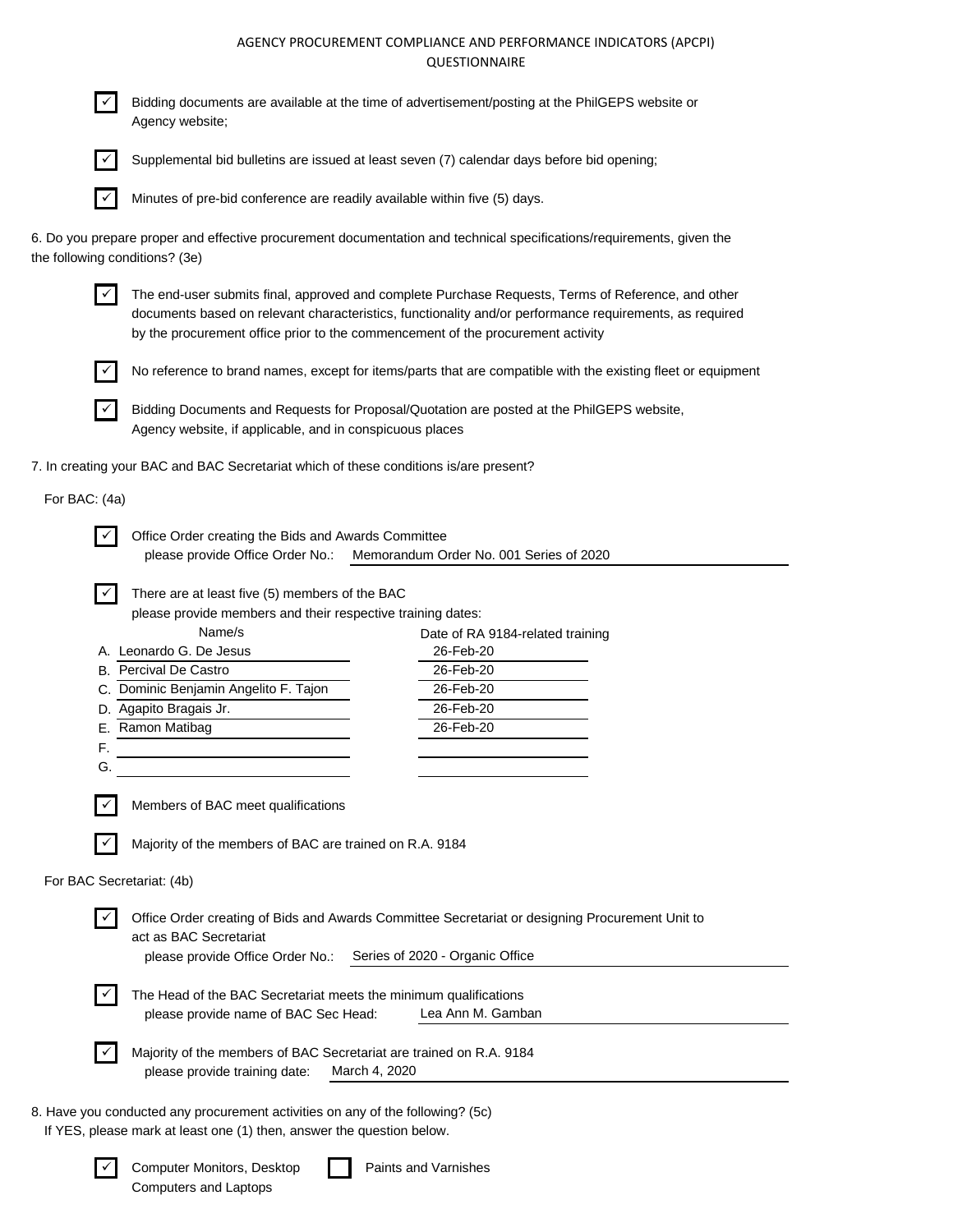

✓ Bidding documents are available at the time of advertisement/posting at the PhilGEPS website or Agency website;



Supplemental bid bulletins are issued at least seven (7) calendar days before bid opening;

Minutes of pre-bid conference are readily available within five (5) days.

6. Do you prepare proper and effective procurement documentation and technical specifications/requirements, given the the following conditions? (3e)



✓ The end-user submits final, approved and complete Purchase Requests, Terms of Reference, and other documents based on relevant characteristics, functionality and/or performance requirements, as required by the procurement office prior to the commencement of the procurement activity



No reference to brand names, except for items/parts that are compatible with the existing fleet or equipment



 $\triangledown$  Bidding Documents and Requests for Proposal/Quotation are posted at the PhilGEPS website, Agency website, if applicable, and in conspicuous places

7. In creating your BAC and BAC Secretariat which of these conditions is/are present?

## For BAC: (4a)

| I<br>× |
|--------|
|--------|

Office Order creating the Bids and Awards Committee please provide Office Order No.: Memorandum Order No. 001 Series of 2020

There are at least five (5) members of the BAC

please provide members and their respective training dates:

| Name/s                                | Date of RA 9184-related training |
|---------------------------------------|----------------------------------|
| A. Leonardo G. De Jesus               | 26-Feb-20                        |
| <b>B.</b> Percival De Castro          | 26-Feb-20                        |
| C. Dominic Benjamin Angelito F. Tajon | 26-Feb-20                        |
| D. Agapito Bragais Jr.                | 26-Feb-20                        |
| E. Ramon Matibag                      | 26-Feb-20                        |
| F.                                    |                                  |
| G.                                    |                                  |
|                                       |                                  |
| Members of BAC meet qualifications    |                                  |

For BAC Secretariat: (4b)

✓ Office Order creating of Bids and Awards Committee Secretariat or designing Procurement Unit to act as BAC Secretariat please provide Office Order No.:

✓ Majority of the members of BAC are trained on R.A. 9184

Series of 2020 - Organic Office

The Head of the BAC Secretariat meets the minimum qualifications please provide name of BAC Sec Head: Lea Ann M. Gamban

Majority of the members of BAC Secretariat are trained on R.A. 9184 please provide training date: March 4, 2020

8. Have you conducted any procurement activities on any of the following? (5c) If YES, please mark at least one (1) then, answer the question below.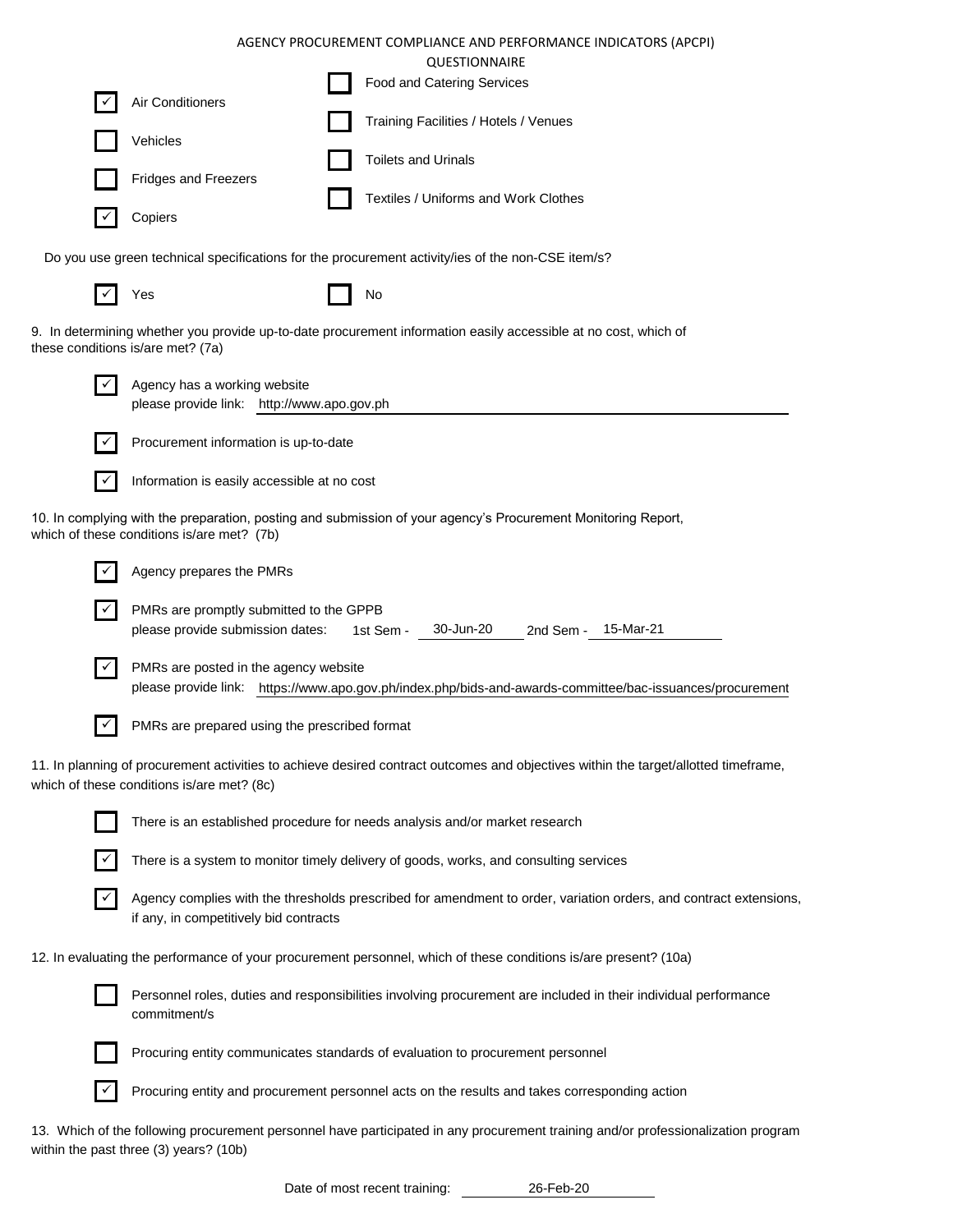|                                                                                                                                                             | AGENCY PROCUREMENT COMPLIANCE AND PERFORMANCE INDICATORS (APCPI)<br>QUESTIONNAIRE                                                                                                 |  |  |  |  |  |  |
|-------------------------------------------------------------------------------------------------------------------------------------------------------------|-----------------------------------------------------------------------------------------------------------------------------------------------------------------------------------|--|--|--|--|--|--|
|                                                                                                                                                             | Food and Catering Services                                                                                                                                                        |  |  |  |  |  |  |
|                                                                                                                                                             | Air Conditioners<br>Training Facilities / Hotels / Venues                                                                                                                         |  |  |  |  |  |  |
|                                                                                                                                                             | Vehicles                                                                                                                                                                          |  |  |  |  |  |  |
|                                                                                                                                                             | <b>Toilets and Urinals</b><br><b>Fridges and Freezers</b>                                                                                                                         |  |  |  |  |  |  |
|                                                                                                                                                             | Textiles / Uniforms and Work Clothes<br>Copiers                                                                                                                                   |  |  |  |  |  |  |
|                                                                                                                                                             | Do you use green technical specifications for the procurement activity/ies of the non-CSE item/s?                                                                                 |  |  |  |  |  |  |
|                                                                                                                                                             | Yes<br>No                                                                                                                                                                         |  |  |  |  |  |  |
|                                                                                                                                                             | 9. In determining whether you provide up-to-date procurement information easily accessible at no cost, which of<br>these conditions is/are met? (7a)                              |  |  |  |  |  |  |
| ✓                                                                                                                                                           | Agency has a working website<br>please provide link: http://www.apo.gov.ph                                                                                                        |  |  |  |  |  |  |
|                                                                                                                                                             | Procurement information is up-to-date                                                                                                                                             |  |  |  |  |  |  |
| $\checkmark$                                                                                                                                                | Information is easily accessible at no cost                                                                                                                                       |  |  |  |  |  |  |
| 10. In complying with the preparation, posting and submission of your agency's Procurement Monitoring Report,<br>which of these conditions is/are met? (7b) |                                                                                                                                                                                   |  |  |  |  |  |  |
|                                                                                                                                                             | Agency prepares the PMRs                                                                                                                                                          |  |  |  |  |  |  |
| $\checkmark$                                                                                                                                                | PMRs are promptly submitted to the GPPB<br>please provide submission dates:<br>30-Jun-20<br>1st Sem -<br>2nd Sem - 15-Mar-21                                                      |  |  |  |  |  |  |
| $\checkmark$                                                                                                                                                | PMRs are posted in the agency website<br>please provide link: https://www.apo.gov.ph/index.php/bids-and-awards-committee/bac-issuances/procurement                                |  |  |  |  |  |  |
| $\checkmark$                                                                                                                                                | PMRs are prepared using the prescribed format                                                                                                                                     |  |  |  |  |  |  |
|                                                                                                                                                             | 11. In planning of procurement activities to achieve desired contract outcomes and objectives within the target/allotted timeframe,<br>which of these conditions is/are met? (8c) |  |  |  |  |  |  |
|                                                                                                                                                             | There is an established procedure for needs analysis and/or market research                                                                                                       |  |  |  |  |  |  |
|                                                                                                                                                             | There is a system to monitor timely delivery of goods, works, and consulting services                                                                                             |  |  |  |  |  |  |
|                                                                                                                                                             | Agency complies with the thresholds prescribed for amendment to order, variation orders, and contract extensions,<br>if any, in competitively bid contracts                       |  |  |  |  |  |  |
|                                                                                                                                                             | 12. In evaluating the performance of your procurement personnel, which of these conditions is/are present? (10a)                                                                  |  |  |  |  |  |  |
|                                                                                                                                                             | Personnel roles, duties and responsibilities involving procurement are included in their individual performance<br>commitment/s                                                   |  |  |  |  |  |  |
|                                                                                                                                                             | Procuring entity communicates standards of evaluation to procurement personnel                                                                                                    |  |  |  |  |  |  |
|                                                                                                                                                             | Procuring entity and procurement personnel acts on the results and takes corresponding action                                                                                     |  |  |  |  |  |  |

13. Which of the following procurement personnel have participated in any procurement training and/or professionalization program within the past three (3) years? (10b)

Date of most recent training: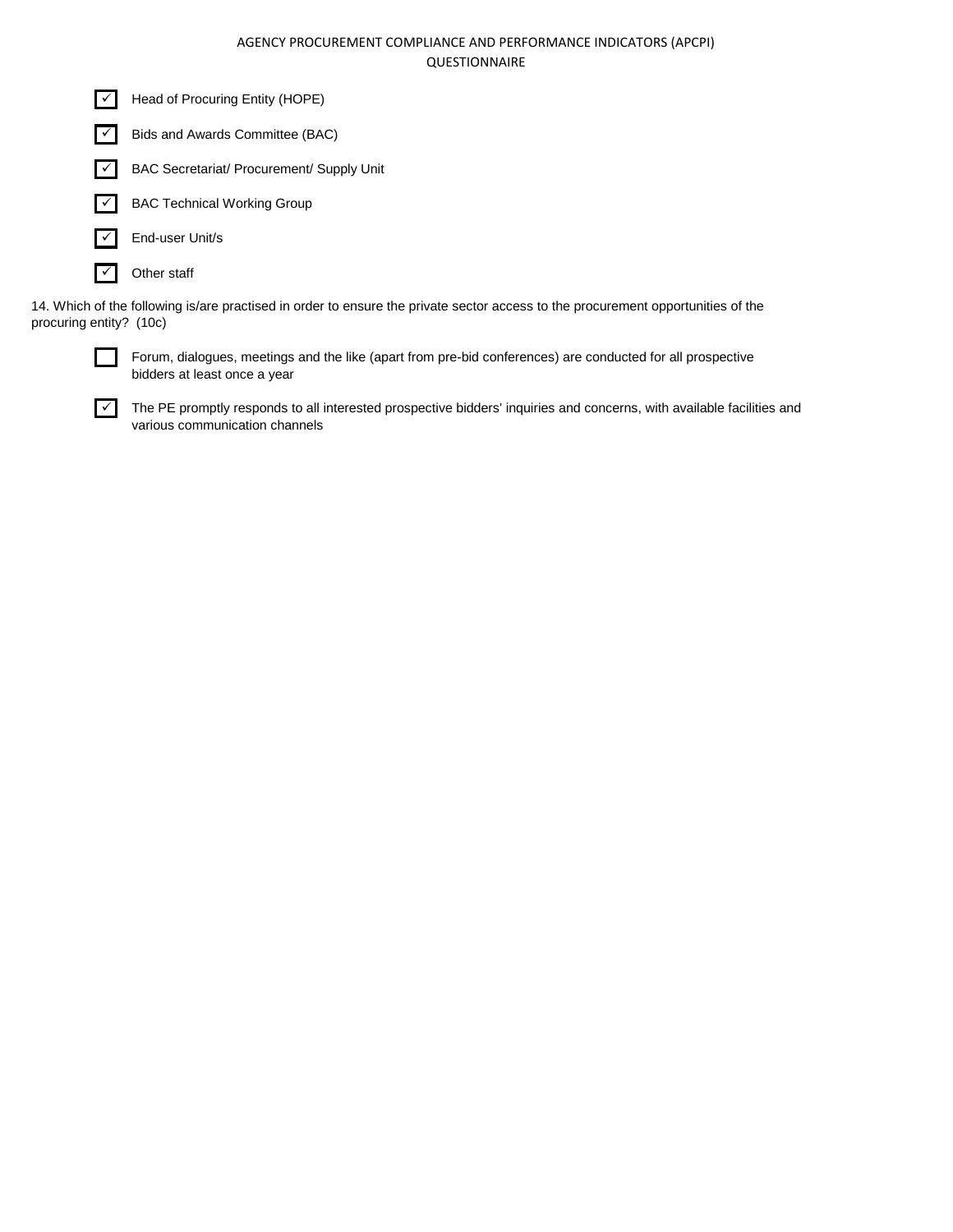| ▎✓▏                                | Head of Procuring Entity (HOPE)                                                                                 |
|------------------------------------|-----------------------------------------------------------------------------------------------------------------|
| ▎✓▎                                | Bids and Awards Committee (BAC)                                                                                 |
| $\mathsf{I} \vee \mathsf{I}$       | <b>BAC Secretariat/ Procurement/ Supply Unit</b>                                                                |
| $\mathsf{I} \checkmark \mathsf{I}$ | <b>BAC Technical Working Group</b>                                                                              |
| ▎✓▏                                | End-user Unit/s                                                                                                 |
| ╹✓                                 | Other staff                                                                                                     |
|                                    | AME take of the full critical to logic modernthic at the production concerns the moderntal production operation |

14. Which of the following is/are practised in order to ensure the private sector access to the procurement opportunities of the procuring entity? (10c)



Forum, dialogues, meetings and the like (apart from pre-bid conferences) are conducted for all prospective bidders at least once a year

✓ The PE promptly responds to all interested prospective bidders' inquiries and concerns, with available facilities and various communication channels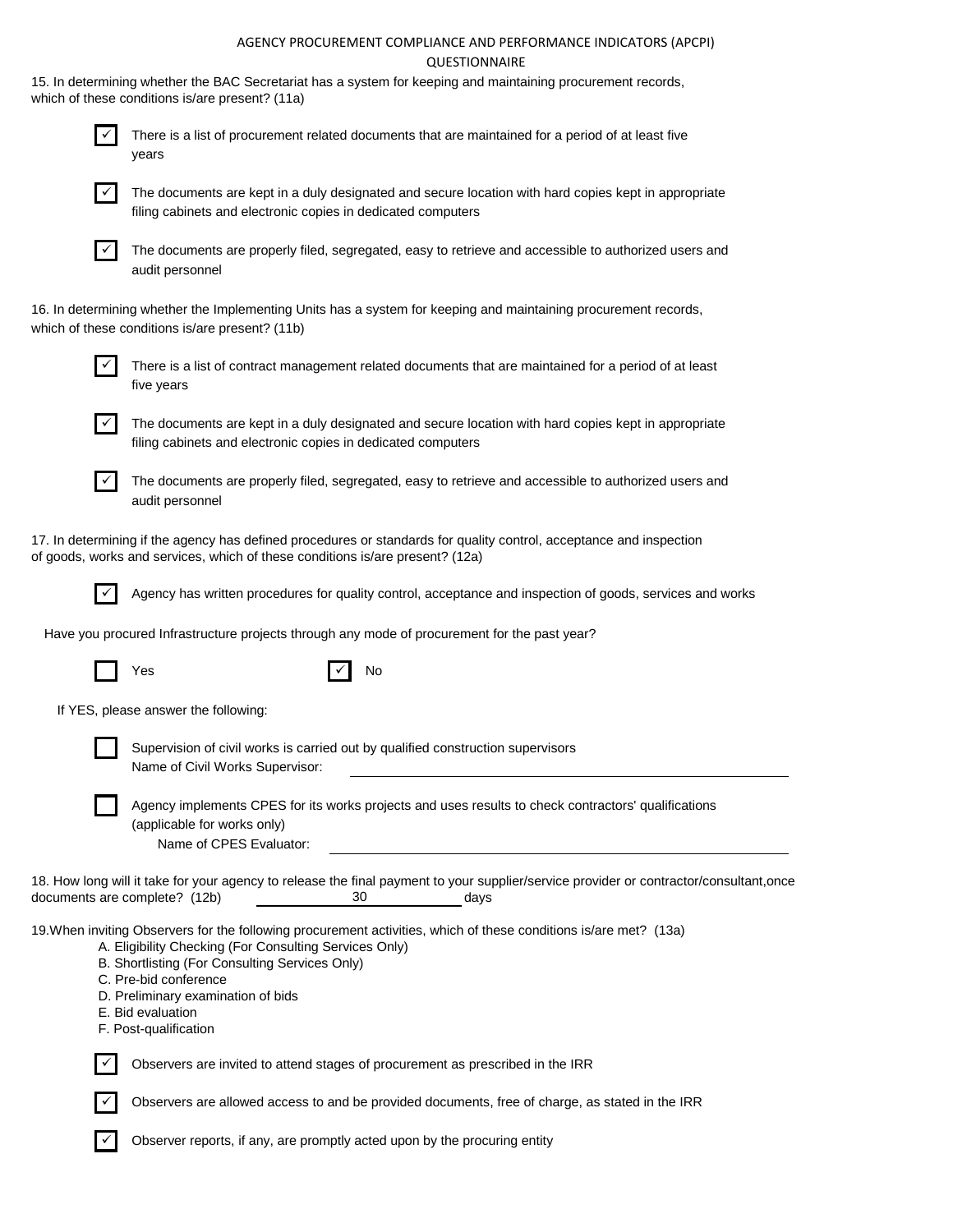15. In determining whether the BAC Secretariat has a system for keeping and maintaining procurement records, which of these conditions is/are present? (11a)



There is a list of procurement related documents that are maintained for a period of at least five years



The documents are kept in a duly designated and secure location with hard copies kept in appropriate filing cabinets and electronic copies in dedicated computers



The documents are properly filed, segregated, easy to retrieve and accessible to authorized users and audit personnel

16. In determining whether the Implementing Units has a system for keeping and maintaining procurement records, which of these conditions is/are present? (11b)



There is a list of contract management related documents that are maintained for a period of at least five years



The documents are kept in a duly designated and secure location with hard copies kept in appropriate filing cabinets and electronic copies in dedicated computers



The documents are properly filed, segregated, easy to retrieve and accessible to authorized users and audit personnel

17. In determining if the agency has defined procedures or standards for quality control, acceptance and inspection of goods, works and services, which of these conditions is/are present? (12a)



Agency has written procedures for quality control, acceptance and inspection of goods, services and works

Have you procured Infrastructure projects through any mode of procurement for the past year?

| Yes | $\sqrt{}$ No |
|-----|--------------|
|     |              |

If YES, please answer the following:



Supervision of civil works is carried out by qualified construction supervisors Name of Civil Works Supervisor:

Agency implements CPES for its works projects and uses results to check contractors' qualifications (applicable for works only) Name of CPES Evaluator:

18. How long will it take for your agency to release the final payment to your supplier/service provider or contractor/consultant,once documents are complete? (12b) 30 days 30

19.When inviting Observers for the following procurement activities, which of these conditions is/are met? (13a)

- A. Eligibility Checking (For Consulting Services Only)
- B. Shortlisting (For Consulting Services Only) C. Pre-bid conference
- 
- D. Preliminary examination of bids
- E. Bid evaluation
- F. Post-qualification



Observers are invited to attend stages of procurement as prescribed in the IRR



Observers are allowed access to and be provided documents, free of charge, as stated in the IRR

Observer reports, if any, are promptly acted upon by the procuring entity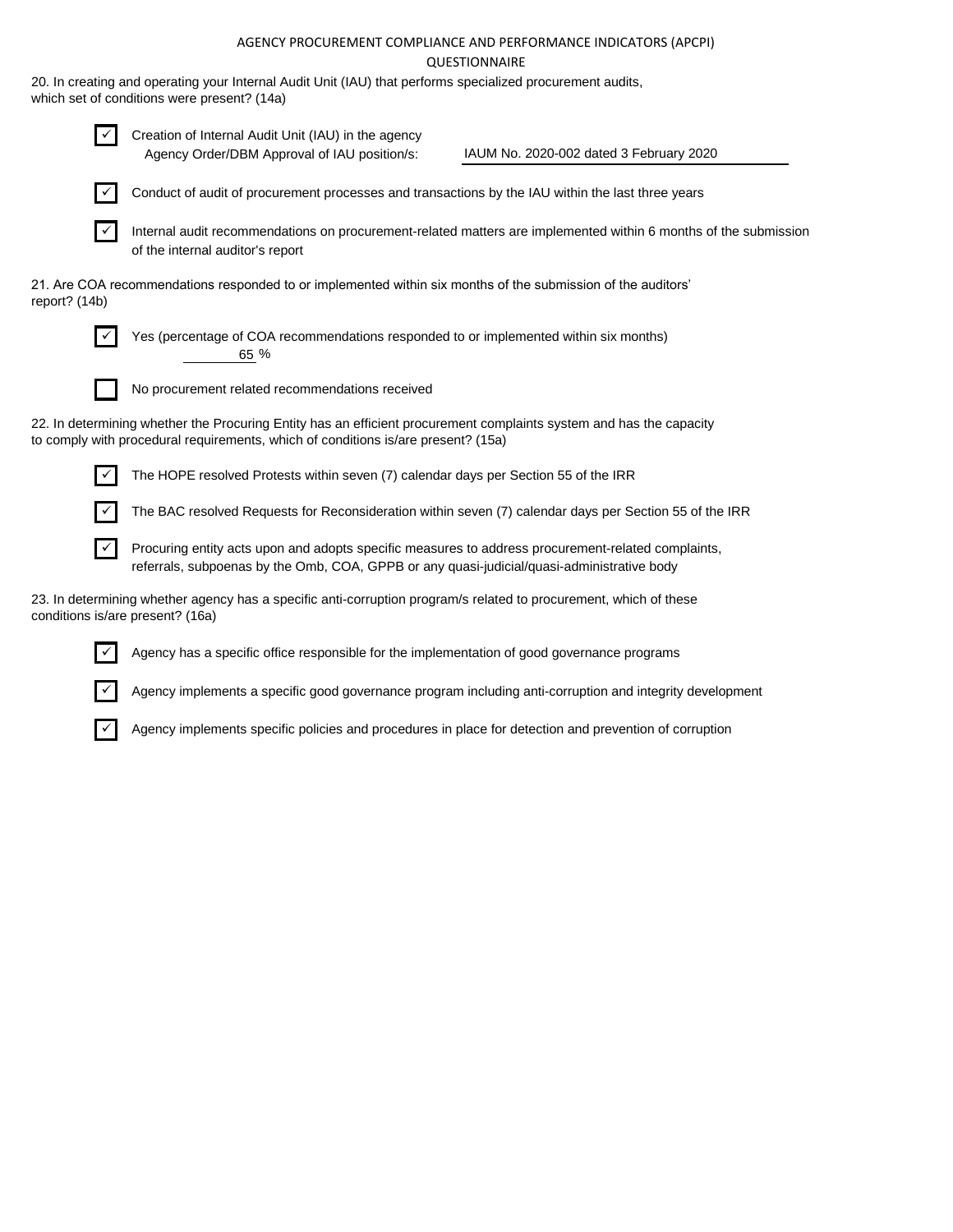20. In creating and operating your Internal Audit Unit (IAU) that performs specialized procurement audits, which set of conditions were present? (14a)

|                                  | Creation of Internal Audit Unit (IAU) in the agency<br>Agency Order/DBM Approval of IAU position/s:                                                                                                      | IAUM No. 2020-002 dated 3 February 2020 |  |  |  |  |
|----------------------------------|----------------------------------------------------------------------------------------------------------------------------------------------------------------------------------------------------------|-----------------------------------------|--|--|--|--|
|                                  | Conduct of audit of procurement processes and transactions by the IAU within the last three years                                                                                                        |                                         |  |  |  |  |
|                                  | Internal audit recommendations on procurement-related matters are implemented within 6 months of the submission<br>of the internal auditor's report                                                      |                                         |  |  |  |  |
| report? (14b)                    | 21. Are COA recommendations responded to or implemented within six months of the submission of the auditors'                                                                                             |                                         |  |  |  |  |
| $\checkmark$                     | Yes (percentage of COA recommendations responded to or implemented within six months)<br>65 %                                                                                                            |                                         |  |  |  |  |
|                                  | No procurement related recommendations received                                                                                                                                                          |                                         |  |  |  |  |
|                                  | 22. In determining whether the Procuring Entity has an efficient procurement complaints system and has the capacity<br>to comply with procedural requirements, which of conditions is/are present? (15a) |                                         |  |  |  |  |
|                                  | The HOPE resolved Protests within seven (7) calendar days per Section 55 of the IRR                                                                                                                      |                                         |  |  |  |  |
|                                  | The BAC resolved Requests for Reconsideration within seven (7) calendar days per Section 55 of the IRR                                                                                                   |                                         |  |  |  |  |
| $\checkmark$                     | Procuring entity acts upon and adopts specific measures to address procurement-related complaints,<br>referrals, subpoenas by the Omb, COA, GPPB or any quasi-judicial/quasi-administrative body         |                                         |  |  |  |  |
| conditions is/are present? (16a) | 23. In determining whether agency has a specific anti-corruption program/s related to procurement, which of these                                                                                        |                                         |  |  |  |  |
|                                  | Agency has a specific office responsible for the implementation of good governance programs                                                                                                              |                                         |  |  |  |  |
|                                  | Agency implements a specific good governance program including anti-corruption and integrity development                                                                                                 |                                         |  |  |  |  |

 $\vee$  Agency implements specific policies and procedures in place for detection and prevention of corruption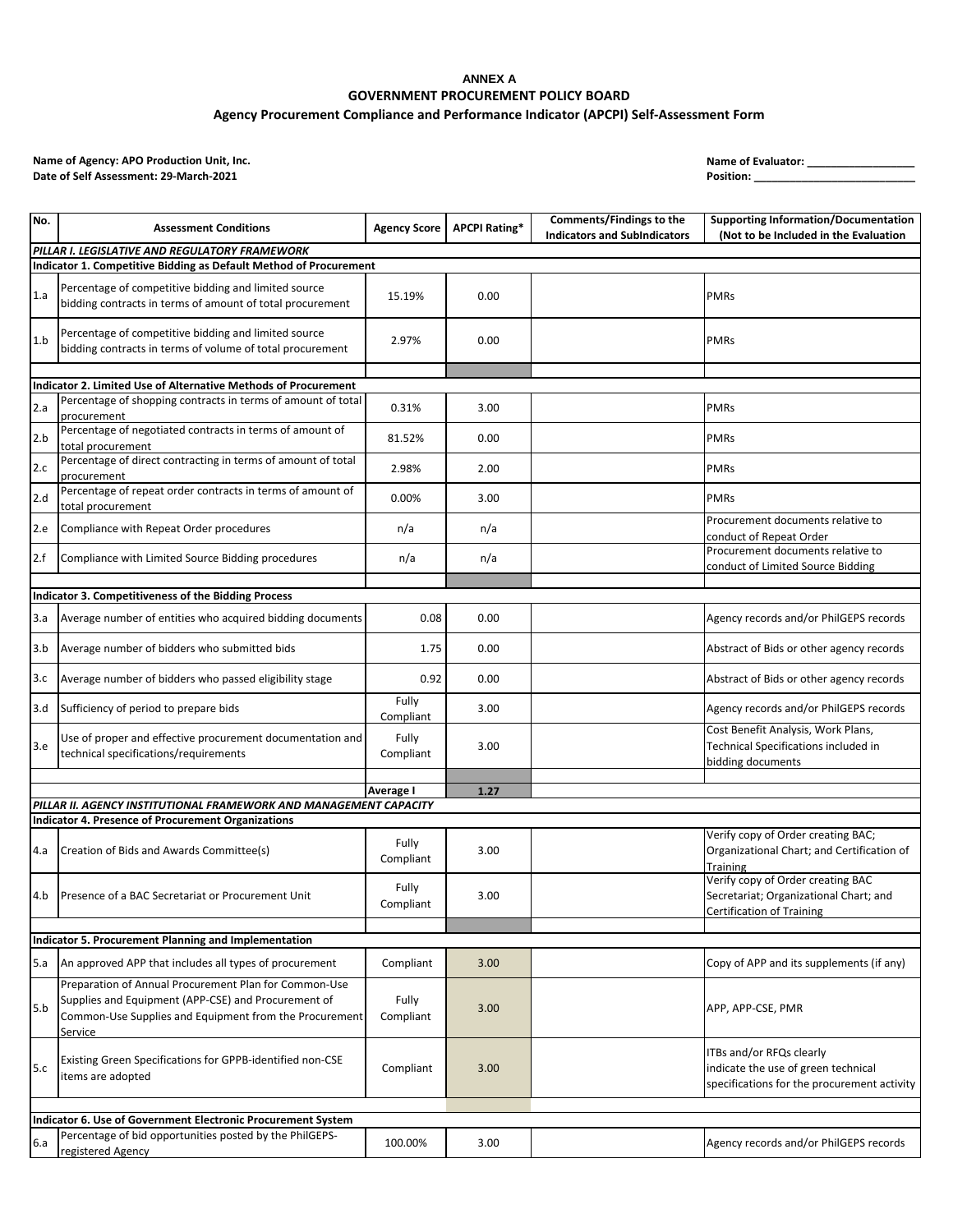**Name of Agency: APO Production Unit, Inc. Name of Evaluator: \_\_\_\_\_\_\_\_\_\_\_\_\_\_\_\_\_\_ Date of Self Assessment: 29-March-2021 Position: \_\_\_\_\_\_\_\_\_\_\_\_\_\_\_\_\_\_\_\_\_\_\_\_\_\_\_**

| No. | <b>Assessment Conditions</b>                                                                                                                                                      | <b>Agency Score</b> | <b>APCPI Rating*</b> | Comments/Findings to the<br><b>Indicators and SubIndicators</b> | <b>Supporting Information/Documentation</b><br>(Not to be Included in the Evaluation                           |  |  |
|-----|-----------------------------------------------------------------------------------------------------------------------------------------------------------------------------------|---------------------|----------------------|-----------------------------------------------------------------|----------------------------------------------------------------------------------------------------------------|--|--|
|     | PILLAR I. LEGISLATIVE AND REGULATORY FRAMEWORK                                                                                                                                    |                     |                      |                                                                 |                                                                                                                |  |  |
|     | Indicator 1. Competitive Bidding as Default Method of Procurement                                                                                                                 |                     |                      |                                                                 |                                                                                                                |  |  |
| 1.a | Percentage of competitive bidding and limited source<br>bidding contracts in terms of amount of total procurement                                                                 | 15.19%              | 0.00                 |                                                                 | <b>PMRs</b>                                                                                                    |  |  |
| 1.b | Percentage of competitive bidding and limited source<br>bidding contracts in terms of volume of total procurement                                                                 | 2.97%               | 0.00                 |                                                                 | <b>PMRs</b>                                                                                                    |  |  |
|     |                                                                                                                                                                                   |                     |                      |                                                                 |                                                                                                                |  |  |
|     | Indicator 2. Limited Use of Alternative Methods of Procurement                                                                                                                    |                     |                      |                                                                 |                                                                                                                |  |  |
| 2.a | Percentage of shopping contracts in terms of amount of total<br>procurement                                                                                                       | 0.31%               | 3.00                 |                                                                 | <b>PMRs</b>                                                                                                    |  |  |
| 2.b | Percentage of negotiated contracts in terms of amount of<br>total procurement                                                                                                     | 81.52%              | 0.00                 |                                                                 | <b>PMRs</b>                                                                                                    |  |  |
| 2.c | Percentage of direct contracting in terms of amount of total<br>procurement                                                                                                       | 2.98%               | 2.00                 |                                                                 | <b>PMRs</b>                                                                                                    |  |  |
| 2.d | Percentage of repeat order contracts in terms of amount of<br>total procurement                                                                                                   | 0.00%               | 3.00                 |                                                                 | <b>PMRs</b>                                                                                                    |  |  |
| 2.e | Compliance with Repeat Order procedures                                                                                                                                           | n/a                 | n/a                  |                                                                 | Procurement documents relative to<br>conduct of Repeat Order                                                   |  |  |
| 2.f | Compliance with Limited Source Bidding procedures                                                                                                                                 | n/a                 | n/a                  |                                                                 | Procurement documents relative to<br>conduct of Limited Source Bidding                                         |  |  |
|     |                                                                                                                                                                                   |                     |                      |                                                                 |                                                                                                                |  |  |
|     | Indicator 3. Competitiveness of the Bidding Process                                                                                                                               |                     |                      |                                                                 |                                                                                                                |  |  |
| 3.a | Average number of entities who acquired bidding documents                                                                                                                         | 0.08                | 0.00                 |                                                                 | Agency records and/or PhilGEPS records                                                                         |  |  |
| 3.b | Average number of bidders who submitted bids                                                                                                                                      | 1.75                | 0.00                 |                                                                 | Abstract of Bids or other agency records                                                                       |  |  |
| 3.c | Average number of bidders who passed eligibility stage                                                                                                                            | 0.92                | 0.00                 |                                                                 | Abstract of Bids or other agency records                                                                       |  |  |
| 3.d | Sufficiency of period to prepare bids                                                                                                                                             | Fully<br>Compliant  | 3.00                 |                                                                 | Agency records and/or PhilGEPS records                                                                         |  |  |
| 3.e | Use of proper and effective procurement documentation and<br>technical specifications/requirements                                                                                | Fully<br>Compliant  | 3.00                 |                                                                 | Cost Benefit Analysis, Work Plans,<br>Technical Specifications included in<br>bidding documents                |  |  |
|     |                                                                                                                                                                                   |                     |                      |                                                                 |                                                                                                                |  |  |
|     |                                                                                                                                                                                   | Average I           | 1.27                 |                                                                 |                                                                                                                |  |  |
|     | PILLAR II. AGENCY INSTITUTIONAL FRAMEWORK AND MANAGEMENT CAPACITY                                                                                                                 |                     |                      |                                                                 |                                                                                                                |  |  |
|     | <b>Indicator 4. Presence of Procurement Organizations</b>                                                                                                                         |                     |                      |                                                                 | Verify copy of Order creating BAC;                                                                             |  |  |
| 4.a | Creation of Bids and Awards Committee(s)                                                                                                                                          | Fully<br>Compliant  | 3.00                 |                                                                 | Organizational Chart; and Certification of<br>Training                                                         |  |  |
|     | 4.b Presence of a BAC Secretariat or Procurement Unit                                                                                                                             | Fully<br>Compliant  | 3.00                 |                                                                 | Verify copy of Order creating BAC<br>Secretariat; Organizational Chart; and<br>Certification of Training       |  |  |
|     |                                                                                                                                                                                   |                     |                      |                                                                 |                                                                                                                |  |  |
|     | Indicator 5. Procurement Planning and Implementation                                                                                                                              |                     |                      |                                                                 |                                                                                                                |  |  |
| 5.a | An approved APP that includes all types of procurement                                                                                                                            | Compliant           | 3.00                 |                                                                 | Copy of APP and its supplements (if any)                                                                       |  |  |
| 5.b | Preparation of Annual Procurement Plan for Common-Use<br>Supplies and Equipment (APP-CSE) and Procurement of<br>Common-Use Supplies and Equipment from the Procurement<br>Service | Fully<br>Compliant  | 3.00                 |                                                                 | APP, APP-CSE, PMR                                                                                              |  |  |
| 5.c | Existing Green Specifications for GPPB-identified non-CSE<br>items are adopted                                                                                                    | Compliant           | 3.00                 |                                                                 | ITBs and/or RFQs clearly<br>indicate the use of green technical<br>specifications for the procurement activity |  |  |
|     |                                                                                                                                                                                   |                     |                      |                                                                 |                                                                                                                |  |  |
|     | Indicator 6. Use of Government Electronic Procurement System                                                                                                                      |                     |                      |                                                                 |                                                                                                                |  |  |
| 6.a | Percentage of bid opportunities posted by the PhilGEPS-<br>registered Agency                                                                                                      | 100.00%             | 3.00                 |                                                                 | Agency records and/or PhilGEPS records                                                                         |  |  |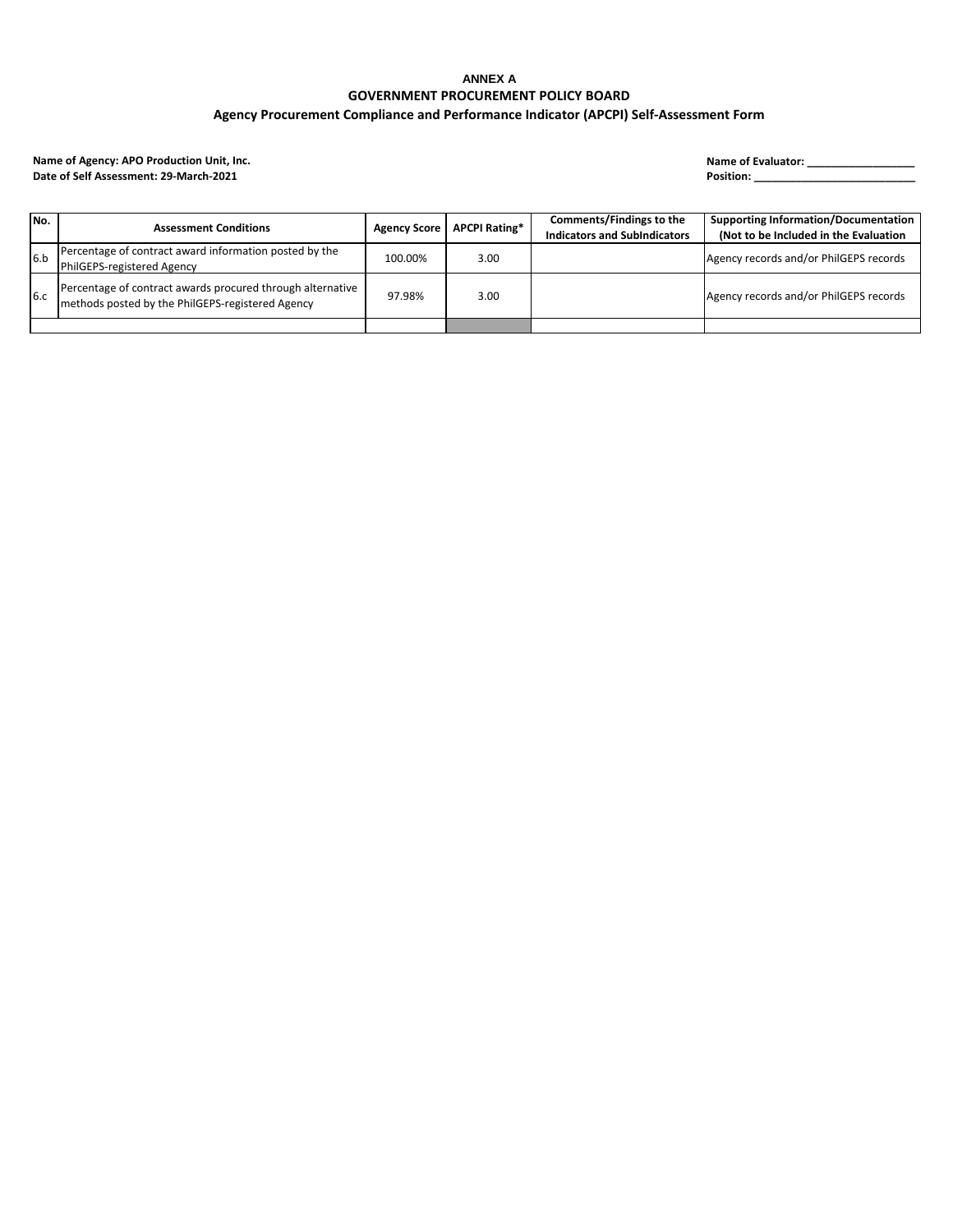**Name of Agency: APO Production Unit, Inc. Name of Evaluator: \_\_\_\_\_\_\_\_\_\_\_\_\_\_\_\_\_\_ Date of Self Assessment: 29-March-2021 Position: \_\_\_\_\_\_\_\_\_\_\_\_\_\_\_\_\_\_\_\_\_\_\_\_\_\_\_**

| No. | <b>Assessment Conditions</b>                                                                                   | <b>Agency Score</b> | <b>APCPI Rating*</b> | Comments/Findings to the<br><b>Indicators and SubIndicators</b> | <b>Supporting Information/Documentation</b><br>(Not to be Included in the Evaluation |
|-----|----------------------------------------------------------------------------------------------------------------|---------------------|----------------------|-----------------------------------------------------------------|--------------------------------------------------------------------------------------|
| 6.b | Percentage of contract award information posted by the<br>PhilGEPS-registered Agency                           | 100.00%             | 3.00                 |                                                                 | Agency records and/or PhilGEPS records                                               |
| 6c  | Percentage of contract awards procured through alternative<br>methods posted by the PhilGEPS-registered Agency | 97.98%              | 3.00                 |                                                                 | Agency records and/or PhilGEPS records                                               |
|     |                                                                                                                |                     |                      |                                                                 |                                                                                      |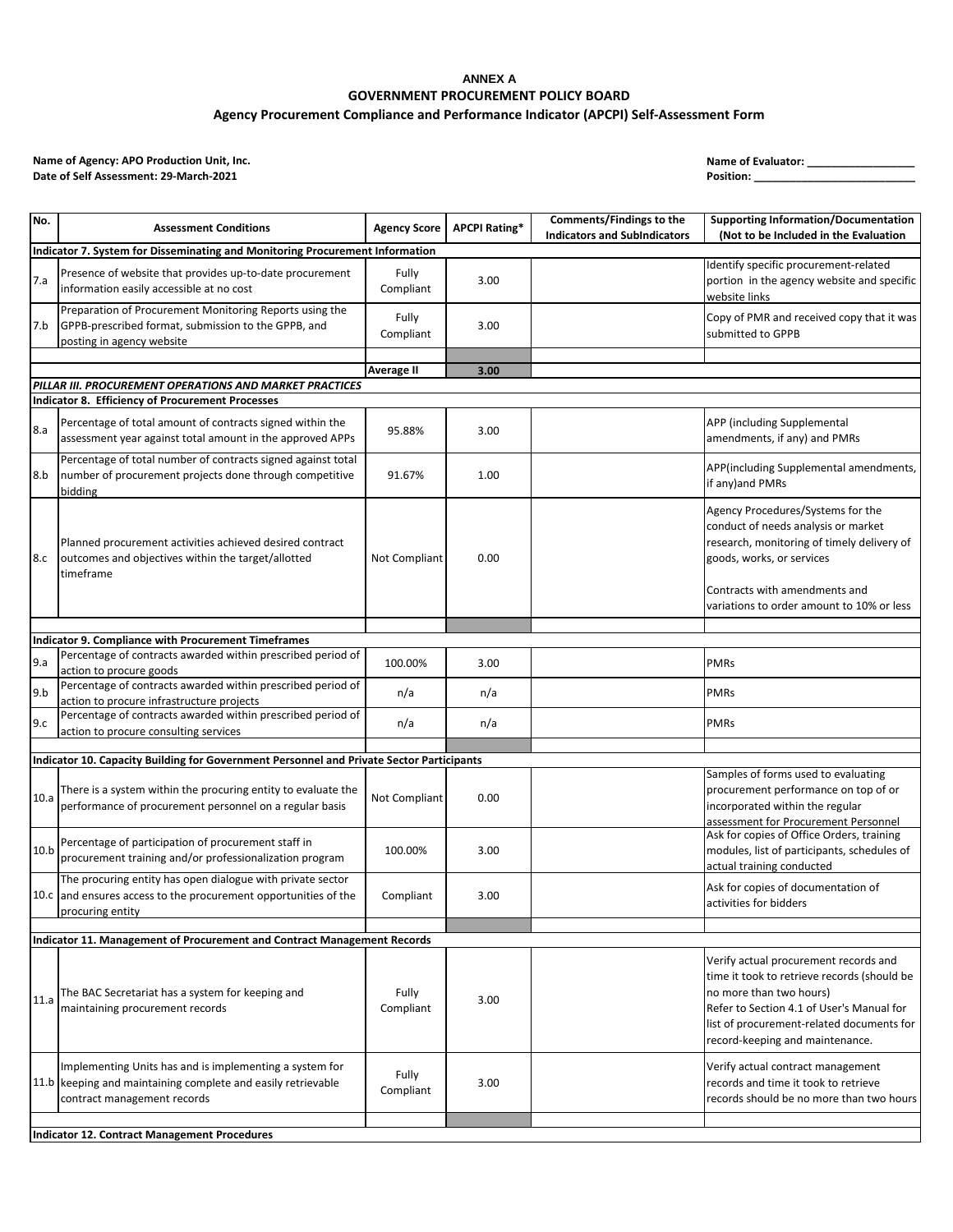**Name of Agency: APO Production Unit, Inc. Name of Evaluator: \_\_\_\_\_\_\_\_\_\_\_\_\_\_\_\_\_\_** Date of Self Assessment: 29-March-2021

| Name of Evaluator: |  |
|--------------------|--|
| Position:          |  |

| No.  | <b>Assessment Conditions</b>                                                                                                                                 | <b>Agency Score</b> | <b>APCPI Rating*</b> | Comments/Findings to the | <b>Supporting Information/Documentation</b>                                                                                                                                                         |  |  |  |
|------|--------------------------------------------------------------------------------------------------------------------------------------------------------------|---------------------|----------------------|--------------------------|-----------------------------------------------------------------------------------------------------------------------------------------------------------------------------------------------------|--|--|--|
|      | <b>Indicators and SubIndicators</b><br>(Not to be Included in the Evaluation<br>Indicator 7. System for Disseminating and Monitoring Procurement Information |                     |                      |                          |                                                                                                                                                                                                     |  |  |  |
| 7.a  | Presence of website that provides up-to-date procurement<br>information easily accessible at no cost                                                         | Fully<br>Compliant  | 3.00                 |                          | Identify specific procurement-related<br>portion in the agency website and specific<br>website links                                                                                                |  |  |  |
| 7.b  | Preparation of Procurement Monitoring Reports using the<br>GPPB-prescribed format, submission to the GPPB, and<br>posting in agency website                  | Fully<br>Compliant  | 3.00                 |                          | Copy of PMR and received copy that it was<br>submitted to GPPB                                                                                                                                      |  |  |  |
|      |                                                                                                                                                              |                     |                      |                          |                                                                                                                                                                                                     |  |  |  |
|      | PILLAR III. PROCUREMENT OPERATIONS AND MARKET PRACTICES                                                                                                      | Average II          | 3.00                 |                          |                                                                                                                                                                                                     |  |  |  |
|      | Indicator 8. Efficiency of Procurement Processes                                                                                                             |                     |                      |                          |                                                                                                                                                                                                     |  |  |  |
| 8.a  | Percentage of total amount of contracts signed within the<br>assessment year against total amount in the approved APPs                                       | 95.88%              | 3.00                 |                          | APP (including Supplemental<br>amendments, if any) and PMRs                                                                                                                                         |  |  |  |
| 8.b  | Percentage of total number of contracts signed against total<br>number of procurement projects done through competitive<br>bidding                           | 91.67%              | 1.00                 |                          | APP(including Supplemental amendments,<br>if any)and PMRs                                                                                                                                           |  |  |  |
| 8.c  | Planned procurement activities achieved desired contract<br>outcomes and objectives within the target/allotted<br>timeframe                                  | Not Compliant       | 0.00                 |                          | Agency Procedures/Systems for the<br>conduct of needs analysis or market<br>research, monitoring of timely delivery of<br>goods, works, or services                                                 |  |  |  |
|      |                                                                                                                                                              |                     |                      |                          | Contracts with amendments and<br>variations to order amount to 10% or less                                                                                                                          |  |  |  |
|      | <b>Indicator 9. Compliance with Procurement Timeframes</b>                                                                                                   |                     |                      |                          |                                                                                                                                                                                                     |  |  |  |
| 9.a  | Percentage of contracts awarded within prescribed period of<br>action to procure goods                                                                       | 100.00%             | 3.00                 |                          | <b>PMRs</b>                                                                                                                                                                                         |  |  |  |
| 9.b  | Percentage of contracts awarded within prescribed period of<br>action to procure infrastructure projects                                                     | n/a                 | n/a                  |                          | <b>PMRs</b>                                                                                                                                                                                         |  |  |  |
| 9.c  | Percentage of contracts awarded within prescribed period of<br>action to procure consulting services                                                         | n/a                 | n/a                  |                          | <b>PMRs</b>                                                                                                                                                                                         |  |  |  |
|      | Indicator 10. Capacity Building for Government Personnel and Private Sector Participants                                                                     |                     |                      |                          |                                                                                                                                                                                                     |  |  |  |
| 10.a | There is a system within the procuring entity to evaluate the<br>performance of procurement personnel on a regular basis                                     | Not Compliant       | 0.00                 |                          | Samples of forms used to evaluating<br>procurement performance on top of or<br>incorporated within the regular<br>assessment for Procurement Personnel                                              |  |  |  |
| 10.b | Percentage of participation of procurement staff in<br>procurement training and/or professionalization program                                               | 100.00%             | 3.00                 |                          | Ask for copies of Office Orders, training<br>modules, list of participants, schedules of<br>actual training conducted                                                                               |  |  |  |
|      | The procuring entity has open dialogue with private sector<br>10.c and ensures access to the procurement opportunities of the<br>procuring entity            | Compliant           | 3.00                 |                          | Ask for copies of documentation of<br>activities for bidders                                                                                                                                        |  |  |  |
|      |                                                                                                                                                              |                     |                      |                          |                                                                                                                                                                                                     |  |  |  |
|      | Indicator 11. Management of Procurement and Contract Management Records                                                                                      |                     |                      |                          | Verify actual procurement records and                                                                                                                                                               |  |  |  |
| 11.a | The BAC Secretariat has a system for keeping and<br>maintaining procurement records                                                                          | Fully<br>Compliant  | 3.00                 |                          | time it took to retrieve records (should be<br>no more than two hours)<br>Refer to Section 4.1 of User's Manual for<br>list of procurement-related documents for<br>record-keeping and maintenance. |  |  |  |
|      | Implementing Units has and is implementing a system for<br>11.b keeping and maintaining complete and easily retrievable<br>contract management records       | Fully<br>Compliant  | 3.00                 |                          | Verify actual contract management<br>records and time it took to retrieve<br>records should be no more than two hours                                                                               |  |  |  |
|      | <b>Indicator 12. Contract Management Procedures</b>                                                                                                          |                     |                      |                          |                                                                                                                                                                                                     |  |  |  |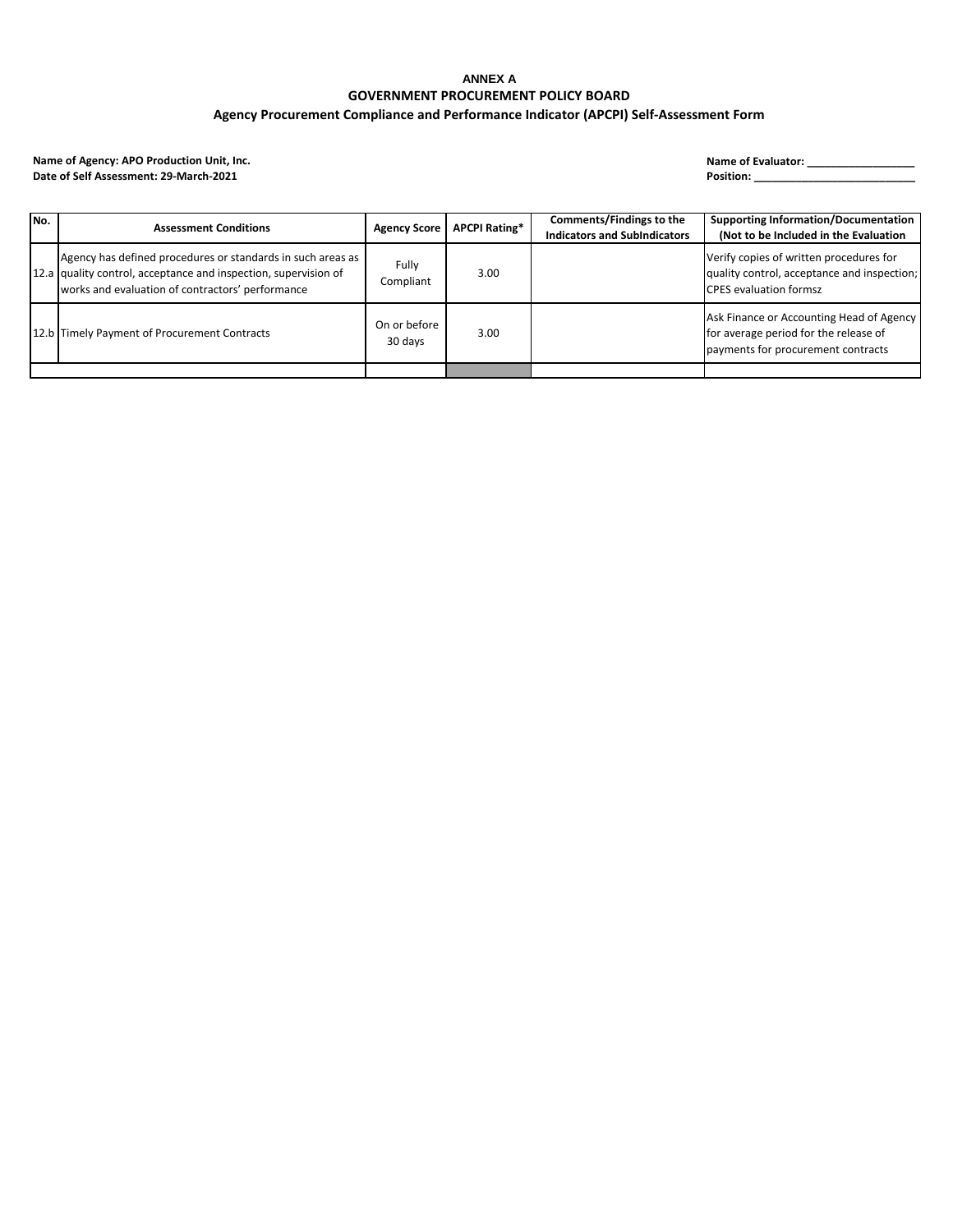**Name of Agency: APO Production Unit, Inc. Name of Evaluator: \_\_\_\_\_\_\_\_\_\_\_\_\_\_\_\_\_\_ Date of Self Assessment: 29-March-2021 Position: \_\_\_\_\_\_\_\_\_\_\_\_\_\_\_\_\_\_\_\_\_\_\_\_\_\_\_**

| No. | <b>Assessment Conditions</b>                                                                                                                                                       | <b>Agency Score</b>     | <b>APCPI Rating*</b> | Comments/Findings to the<br><b>Indicators and SubIndicators</b> | <b>Supporting Information/Documentation</b><br>(Not to be Included in the Evaluation                                    |
|-----|------------------------------------------------------------------------------------------------------------------------------------------------------------------------------------|-------------------------|----------------------|-----------------------------------------------------------------|-------------------------------------------------------------------------------------------------------------------------|
|     | Agency has defined procedures or standards in such areas as<br>12.a quality control, acceptance and inspection, supervision of<br>works and evaluation of contractors' performance | Fully<br>Compliant      | 3.00                 |                                                                 | Verify copies of written procedures for<br>quality control, acceptance and inspection;<br><b>CPES</b> evaluation formsz |
|     | 12.b Timely Payment of Procurement Contracts                                                                                                                                       | On or before<br>30 days | 3.00                 |                                                                 | Ask Finance or Accounting Head of Agency<br>for average period for the release of<br>payments for procurement contracts |
|     |                                                                                                                                                                                    |                         |                      |                                                                 |                                                                                                                         |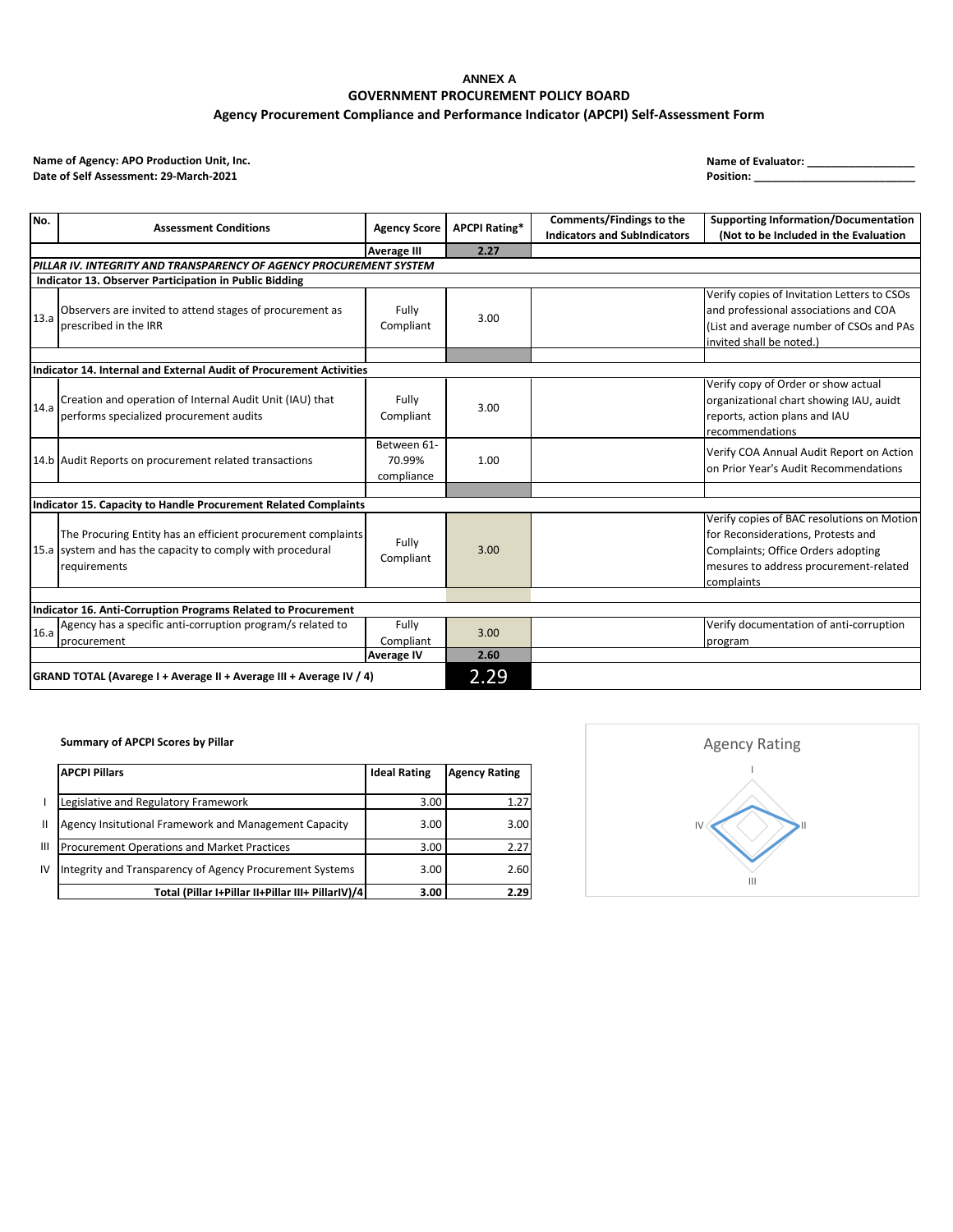Name of Agency: APO Production Unit, Inc. **Name of Evaluator:** Let unit and the Unit of Evaluator: Let unit and the Unit of Evaluator: Let unit and the Unit of Evaluator: Let unit and the Unit of Evaluator: Let unit and th **Date of Self Assessment: 29-March-2021 Position: \_\_\_\_\_\_\_\_\_\_\_\_\_\_\_\_\_\_\_\_\_\_\_\_\_\_\_**

14.a

**No. Assessment Conditions Agency Score APCPI Rating\* Comments/Findings to the** <br> **Agency Score APCPI Rating\* Conditional and Cubbe Limited and Cubbe APCPI Rating\* Indicators and SubIndicators Supporting Information/Documentation (Not to be Included in the Evaluation Average III 2.27** *PILLAR IV. INTEGRITY AND TRANSPARENCY OF AGENCY PROCUREMENT SYSTEM* **Indicator 13. Observer Participation in Public Bidding**  13.a Observers are invited to attend stages of procurement as prescribed in the IRR Fully Equity 3.00 Verify copies of Invitation Letters to CSOs and professional associations and COA (List and average number of CSOs and PAs invited shall be noted.) **Indicator 14. Internal and External Audit of Procurement Activities** Creation and operation of Internal Audit Unit (IAU) that performs specialized procurement audits Fully Equity 3.00 Verify copy of Order or show actual organizational chart showing IAU, auidt reports, action plans and IAU recommendations 14.b Audit Reports on procurement related transactions Between 61- 70.99% compliance 1.00 Verify COA Annual Audit Report on Action on Prior Year's Audit Recommendations **Indicator 15. Capacity to Handle Procurement Related Complaints** 15.a The Procuring Entity has an efficient procurement complaints system and has the capacity to comply with procedural requirements Fully Compliant 3.00 Verify copies of BAC resolutions on Motion for Reconsiderations, Protests and Complaints; Office Orders adopting mesures to address procurement-related complaints **Indicator 16. Anti-Corruption Programs Related to Procurement**   $16.a$  Agency has a specific anti-corruption program/s related to procurement **Fully** Exampliant 3.00<br> **Compliant** 3.00<br> **Compliant** 2.60 Verify documentation of anti-corruption program **Average IV** GRAND TOTAL (Avarege I + Average II + Average III + Average IV / 4) **2.29** 

#### **Summary of APCPI Scores by Pillar**

|                | <b>APCPI Pillars</b>                                     | <b>Ideal Rating</b> | <b>Agency Rating</b> |
|----------------|----------------------------------------------------------|---------------------|----------------------|
|                | Legislative and Regulatory Framework                     | 3.00                | 1.27                 |
| Ш              | Agency Insitutional Framework and Management Capacity    | 3.00                | 3.00                 |
| $\mathbf{III}$ | <b>Procurement Operations and Market Practices</b>       | 3.00                | 2.27                 |
| IV             | Integrity and Transparency of Agency Procurement Systems | 3.00                | 2.60                 |
|                | Total (Pillar I+Pillar II+Pillar III+ PillarIV)/4        | 3.00                | 2.29                 |

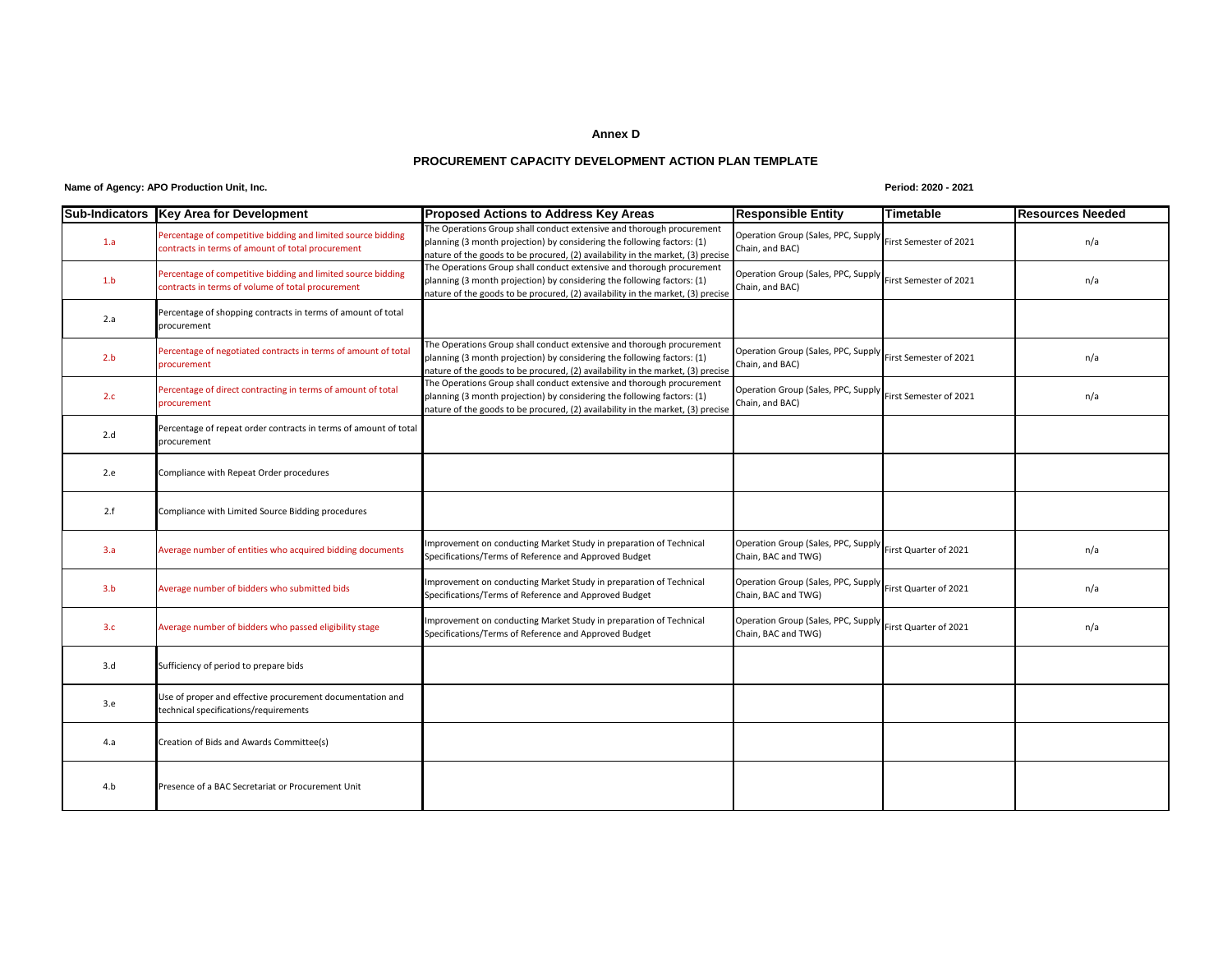#### **Annex D**

#### **PROCUREMENT CAPACITY DEVELOPMENT ACTION PLAN TEMPLATE**

#### **Name of Agency: APO Production Unit, Inc. Period: 2020 - 2021**

|     | Sub-Indicators Key Area for Development                                                                           | <b>Proposed Actions to Address Key Areas</b>                                                                                                                                                                                        | <b>Responsible Entity</b>                                                        | <b>Timetable</b>       | <b>Resources Needed</b> |
|-----|-------------------------------------------------------------------------------------------------------------------|-------------------------------------------------------------------------------------------------------------------------------------------------------------------------------------------------------------------------------------|----------------------------------------------------------------------------------|------------------------|-------------------------|
| 1.a | Percentage of competitive bidding and limited source bidding<br>contracts in terms of amount of total procurement | The Operations Group shall conduct extensive and thorough procurement<br>planning (3 month projection) by considering the following factors: (1)<br>nature of the goods to be procured, (2) availability in the market, (3) precise | Operation Group (Sales, PPC, Supply<br>Chain, and BAC)                           | First Semester of 2021 | n/a                     |
| 1.b | Percentage of competitive bidding and limited source bidding<br>contracts in terms of volume of total procurement | The Operations Group shall conduct extensive and thorough procurement<br>planning (3 month projection) by considering the following factors: (1)<br>nature of the goods to be procured, (2) availability in the market, (3) precise | Operation Group (Sales, PPC, Supply<br>Chain, and BAC)                           | First Semester of 2021 | n/a                     |
| 2.a | Percentage of shopping contracts in terms of amount of total<br>procurement                                       |                                                                                                                                                                                                                                     |                                                                                  |                        |                         |
| 2.b | Percentage of negotiated contracts in terms of amount of total<br>procurement                                     | The Operations Group shall conduct extensive and thorough procurement<br>planning (3 month projection) by considering the following factors: (1)<br>nature of the goods to be procured, (2) availability in the market, (3) precise | Operation Group (Sales, PPC, Supply<br>Chain, and BAC)                           | First Semester of 2021 | n/a                     |
| 2.c | Percentage of direct contracting in terms of amount of total<br>procurement                                       | The Operations Group shall conduct extensive and thorough procurement<br>planning (3 month projection) by considering the following factors: (1)<br>nature of the goods to be procured, (2) availability in the market, (3) precise | Operation Group (Sales, PPC, Supply<br>Chain, and BAC)                           | First Semester of 2021 | n/a                     |
| 2.d | Percentage of repeat order contracts in terms of amount of total<br>procurement                                   |                                                                                                                                                                                                                                     |                                                                                  |                        |                         |
| 2.e | Compliance with Repeat Order procedures                                                                           |                                                                                                                                                                                                                                     |                                                                                  |                        |                         |
| 2.f | Compliance with Limited Source Bidding procedures                                                                 |                                                                                                                                                                                                                                     |                                                                                  |                        |                         |
| 3.a | Average number of entities who acquired bidding documents                                                         | mprovement on conducting Market Study in preparation of Technical<br>Specifications/Terms of Reference and Approved Budget                                                                                                          | Operation Group (Sales, PPC, Supply First Quarter of 2021<br>Chain, BAC and TWG) |                        | n/a                     |
| 3.b | Average number of bidders who submitted bids                                                                      | mprovement on conducting Market Study in preparation of Technical<br>Specifications/Terms of Reference and Approved Budget                                                                                                          | Operation Group (Sales, PPC, Supply<br>Chain, BAC and TWG)                       | First Quarter of 2021  | n/a                     |
| 3.c | Average number of bidders who passed eligibility stage                                                            | mprovement on conducting Market Study in preparation of Technical<br>Specifications/Terms of Reference and Approved Budget                                                                                                          | Operation Group (Sales, PPC, Supply<br>Chain, BAC and TWG)                       | First Quarter of 2021  | n/a                     |
| 3.d | Sufficiency of period to prepare bids                                                                             |                                                                                                                                                                                                                                     |                                                                                  |                        |                         |
| 3.e | Use of proper and effective procurement documentation and<br>technical specifications/requirements                |                                                                                                                                                                                                                                     |                                                                                  |                        |                         |
| 4.a | Creation of Bids and Awards Committee(s)                                                                          |                                                                                                                                                                                                                                     |                                                                                  |                        |                         |
| 4.b | Presence of a BAC Secretariat or Procurement Unit                                                                 |                                                                                                                                                                                                                                     |                                                                                  |                        |                         |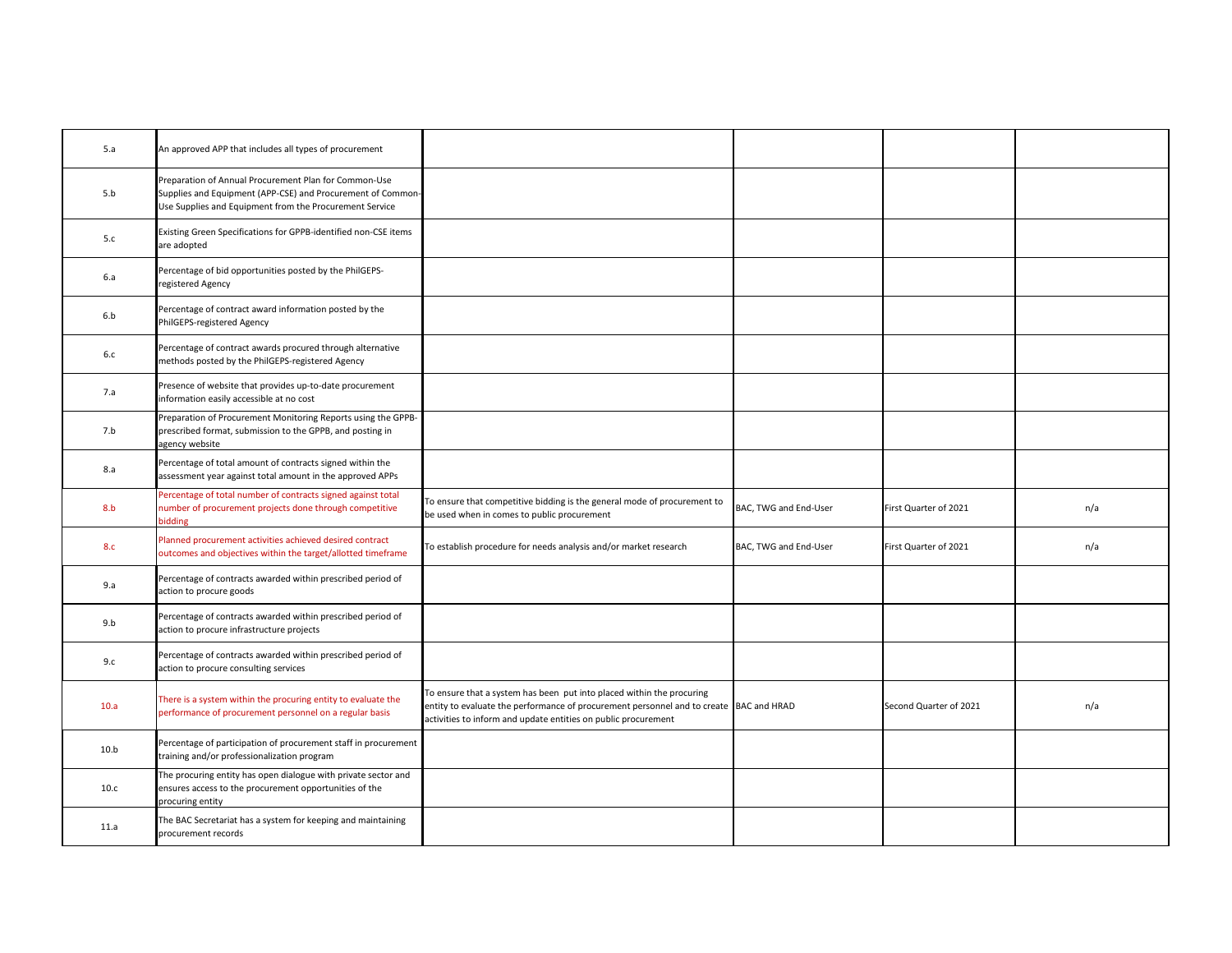| 5.a  | An approved APP that includes all types of procurement                                                                                                                          |                                                                                                                                                                                                                                   |                       |                        |     |
|------|---------------------------------------------------------------------------------------------------------------------------------------------------------------------------------|-----------------------------------------------------------------------------------------------------------------------------------------------------------------------------------------------------------------------------------|-----------------------|------------------------|-----|
| 5.b  | Preparation of Annual Procurement Plan for Common-Use<br>Supplies and Equipment (APP-CSE) and Procurement of Common-<br>Use Supplies and Equipment from the Procurement Service |                                                                                                                                                                                                                                   |                       |                        |     |
| 5.c  | Existing Green Specifications for GPPB-identified non-CSE items<br>are adopted                                                                                                  |                                                                                                                                                                                                                                   |                       |                        |     |
| 6.a  | Percentage of bid opportunities posted by the PhilGEPS-<br>registered Agency                                                                                                    |                                                                                                                                                                                                                                   |                       |                        |     |
| 6.b  | Percentage of contract award information posted by the<br>PhilGEPS-registered Agency                                                                                            |                                                                                                                                                                                                                                   |                       |                        |     |
| 6.c  | Percentage of contract awards procured through alternative<br>methods posted by the PhilGEPS-registered Agency                                                                  |                                                                                                                                                                                                                                   |                       |                        |     |
| 7.a  | Presence of website that provides up-to-date procurement<br>information easily accessible at no cost                                                                            |                                                                                                                                                                                                                                   |                       |                        |     |
| 7.b  | Preparation of Procurement Monitoring Reports using the GPPB-<br>prescribed format, submission to the GPPB, and posting in<br>agency website                                    |                                                                                                                                                                                                                                   |                       |                        |     |
| 8.a  | Percentage of total amount of contracts signed within the<br>assessment year against total amount in the approved APPs                                                          |                                                                                                                                                                                                                                   |                       |                        |     |
| 8.b  | Percentage of total number of contracts signed against total<br>number of procurement projects done through competitive<br>bidding                                              | To ensure that competitive bidding is the general mode of procurement to<br>be used when in comes to public procurement                                                                                                           | BAC, TWG and End-User | First Quarter of 2021  | n/a |
| 8.c  | Planned procurement activities achieved desired contract<br>outcomes and objectives within the target/allotted timeframe                                                        | To establish procedure for needs analysis and/or market research                                                                                                                                                                  | BAC, TWG and End-User | First Quarter of 2021  | n/a |
| 9.a  | Percentage of contracts awarded within prescribed period of<br>action to procure goods                                                                                          |                                                                                                                                                                                                                                   |                       |                        |     |
| 9.b  | Percentage of contracts awarded within prescribed period of<br>action to procure infrastructure projects                                                                        |                                                                                                                                                                                                                                   |                       |                        |     |
| 9.c  | Percentage of contracts awarded within prescribed period of<br>action to procure consulting services                                                                            |                                                                                                                                                                                                                                   |                       |                        |     |
| 10.a | There is a system within the procuring entity to evaluate the<br>performance of procurement personnel on a regular basis                                                        | To ensure that a system has been put into placed within the procuring<br>entity to evaluate the performance of procurement personnel and to create BAC and HRAD<br>activities to inform and update entities on public procurement |                       | Second Quarter of 2021 | n/a |
| 10.b | Percentage of participation of procurement staff in procurement<br>training and/or professionalization program                                                                  |                                                                                                                                                                                                                                   |                       |                        |     |
| 10.c | The procuring entity has open dialogue with private sector and<br>ensures access to the procurement opportunities of the<br>procuring entity                                    |                                                                                                                                                                                                                                   |                       |                        |     |
| 11.a | The BAC Secretariat has a system for keeping and maintaining<br>procurement records                                                                                             |                                                                                                                                                                                                                                   |                       |                        |     |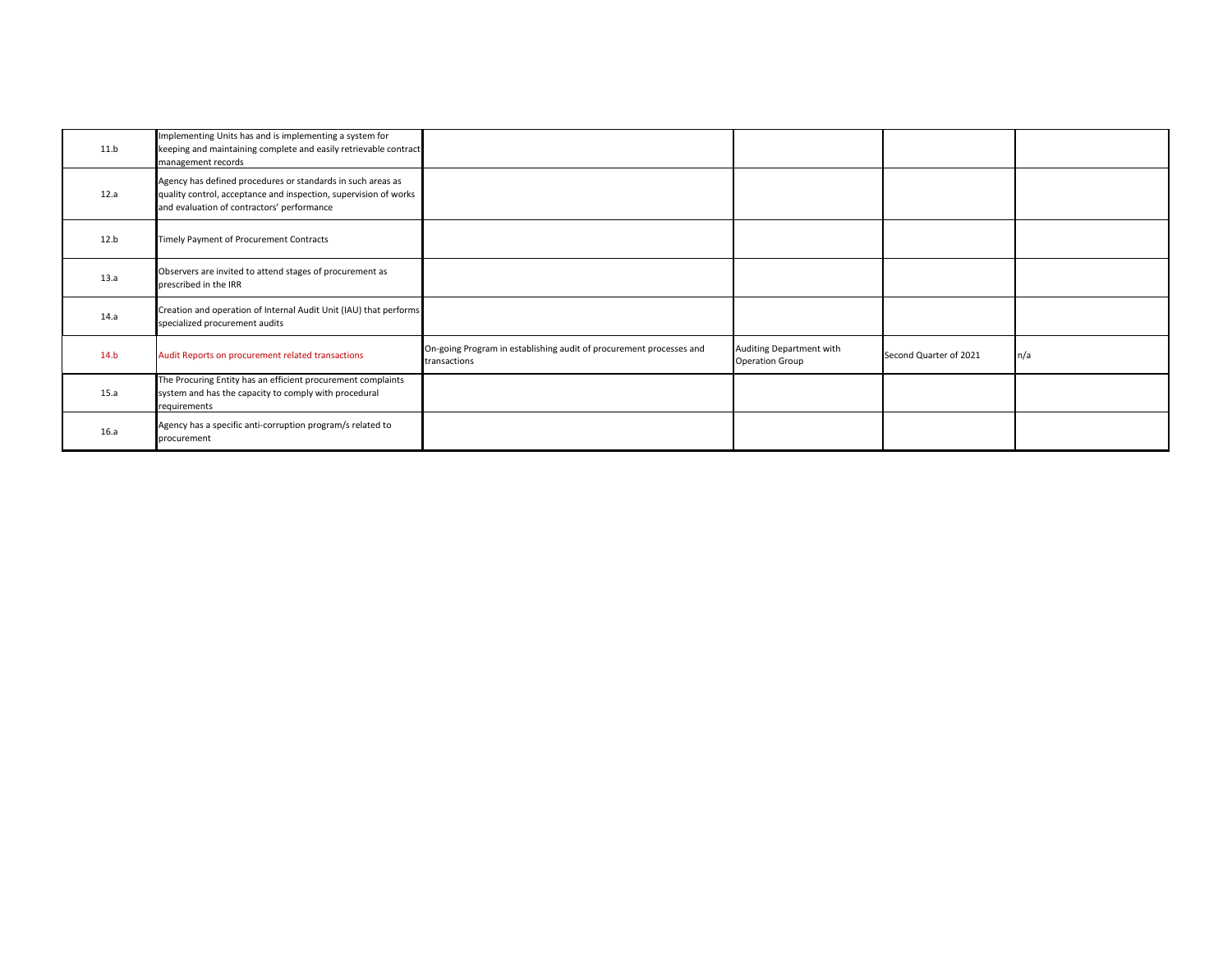| 11.b | Implementing Units has and is implementing a system for<br>keeping and maintaining complete and easily retrievable contract<br>management records                             |                                                                                     |                                                    |                        |     |
|------|-------------------------------------------------------------------------------------------------------------------------------------------------------------------------------|-------------------------------------------------------------------------------------|----------------------------------------------------|------------------------|-----|
| 12.a | Agency has defined procedures or standards in such areas as<br>quality control, acceptance and inspection, supervision of works<br>and evaluation of contractors' performance |                                                                                     |                                                    |                        |     |
| 12.b | Timely Payment of Procurement Contracts                                                                                                                                       |                                                                                     |                                                    |                        |     |
| 13.a | Observers are invited to attend stages of procurement as<br>prescribed in the IRR                                                                                             |                                                                                     |                                                    |                        |     |
| 14.a | Creation and operation of Internal Audit Unit (IAU) that performs<br>specialized procurement audits                                                                           |                                                                                     |                                                    |                        |     |
| 14.b | Audit Reports on procurement related transactions                                                                                                                             | On-going Program in establishing audit of procurement processes and<br>transactions | Auditing Department with<br><b>Operation Group</b> | Second Quarter of 2021 | n/a |
| 15.a | The Procuring Entity has an efficient procurement complaints<br>system and has the capacity to comply with procedural<br>requirements                                         |                                                                                     |                                                    |                        |     |
| 16.a | Agency has a specific anti-corruption program/s related to<br>procurement                                                                                                     |                                                                                     |                                                    |                        |     |